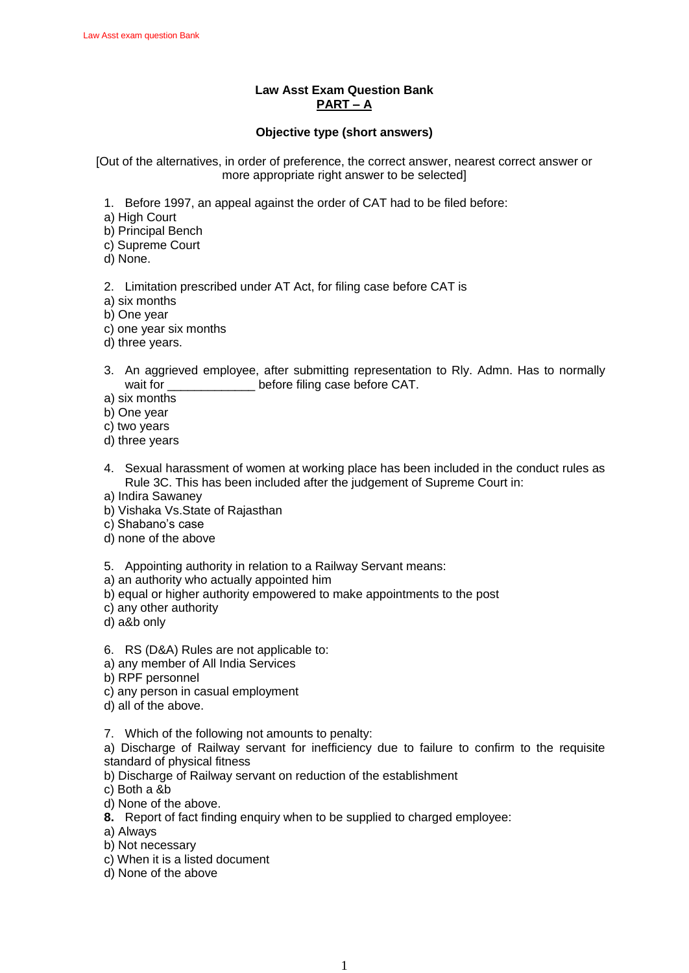## **Law Asst Exam Question Bank PART – A**

### **Objective type (short answers)**

[Out of the alternatives, in order of preference, the correct answer, nearest correct answer or more appropriate right answer to be selected]

- 1. Before 1997, an appeal against the order of CAT had to be filed before:
- a) High Court
- b) Principal Bench
- c) Supreme Court
- d) None.
- 2. Limitation prescribed under AT Act, for filing case before CAT is
- a) six months
- b) One year
- c) one year six months
- d) three years.
- 3. An aggrieved employee, after submitting representation to Rly. Admn. Has to normally wait for \_\_\_\_\_\_\_\_\_\_\_\_\_\_\_\_ before filing case before CAT.
- a) six months
- b) One year
- c) two years
- d) three years
- 4. Sexual harassment of women at working place has been included in the conduct rules as Rule 3C. This has been included after the judgement of Supreme Court in:
- a) Indira Sawaney
- b) Vishaka Vs.State of Rajasthan
- c) Shabano's case
- d) none of the above
- 5. Appointing authority in relation to a Railway Servant means:
- a) an authority who actually appointed him
- b) equal or higher authority empowered to make appointments to the post
- c) any other authority
- d) a&b only
- 6. RS (D&A) Rules are not applicable to:
- a) any member of All India Services
- b) RPF personnel
- c) any person in casual employment
- d) all of the above.
- 7. Which of the following not amounts to penalty:
- a) Discharge of Railway servant for inefficiency due to failure to confirm to the requisite standard of physical fitness
- b) Discharge of Railway servant on reduction of the establishment
- c) Both a &b
- d) None of the above.
- **8.** Report of fact finding enquiry when to be supplied to charged employee:
- a) Always
- b) Not necessary
- c) When it is a listed document
- d) None of the above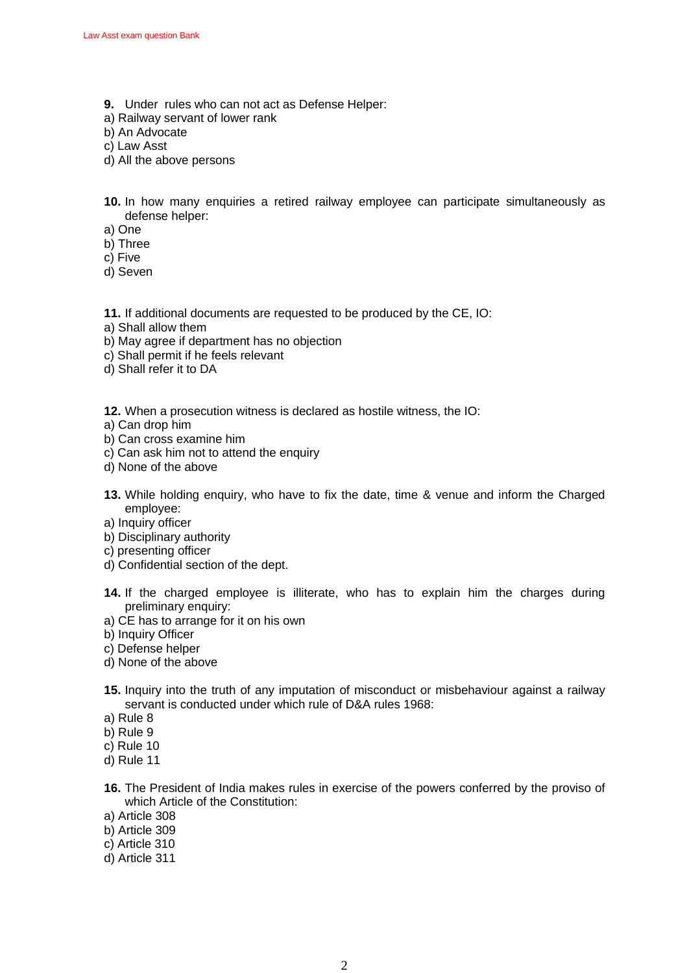- **9.** Under rules who can not act as Defense Helper:
- a) Railway servant of lower rank
- b) An Advocate
- c) Law Asst
- d) All the above persons
- **10.** In how many enquiries a retired railway employee can participate simultaneously as defense helper:
- a) One
- b) Three
- c) Five
- d) Seven
- **11.** If additional documents are requested to be produced by the CE, IO:
- a) Shall allow them
- b) May agree if department has no objection
- c) Shall permit if he feels relevant
- d) Shall refer it to DA

**12.** When a prosecution witness is declared as hostile witness, the IO:

- a) Can drop him
- b) Can cross examine him
- c) Can ask him not to attend the enquiry
- d) None of the above
- **13.** While holding enquiry, who have to fix the date, time & venue and inform the Charged employee:
- a) Inquiry officer
- b) Disciplinary authority
- c) presenting officer
- d) Confidential section of the dept.
- **14.** If the charged employee is illiterate, who has to explain him the charges during preliminary enquiry:
- a) CE has to arrange for it on his own
- b) Inquiry Officer
- c) Defense helper
- d) None of the above
- **15.** Inquiry into the truth of any imputation of misconduct or misbehaviour against a railway servant is conducted under which rule of D&A rules 1968:
- a) Rule 8
- b) Rule 9
- c) Rule 10
- d) Rule 11
- **16.** The President of India makes rules in exercise of the powers conferred by the proviso of which Article of the Constitution:
- a) Article 308
- b) Article 309
- c) Article 310
- d) Article 311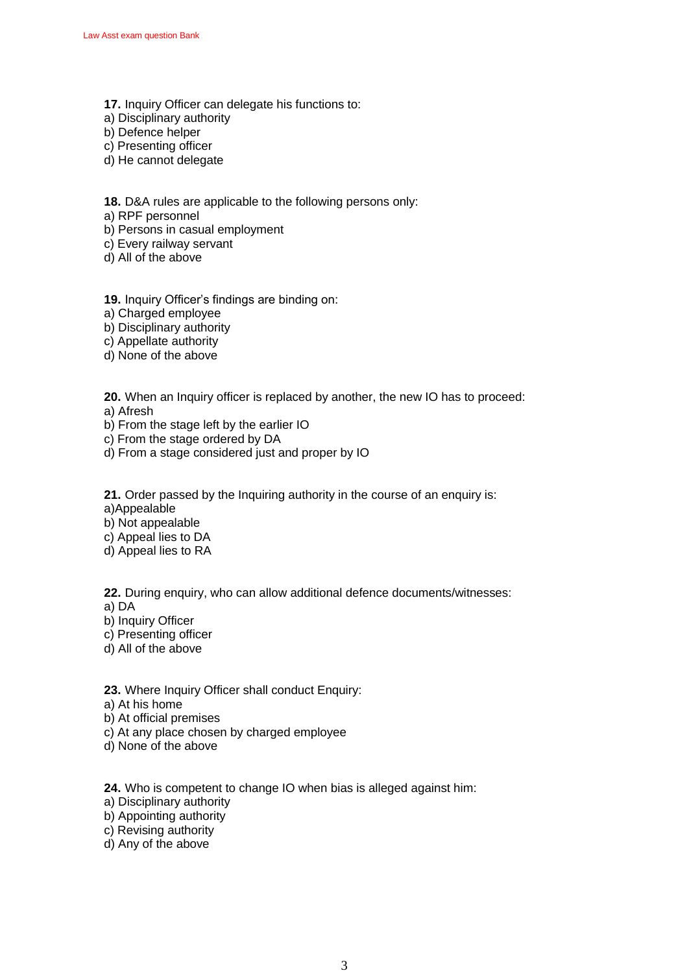- **17.** Inquiry Officer can delegate his functions to:
- a) Disciplinary authority
- b) Defence helper
- c) Presenting officer
- d) He cannot delegate

**18.** D&A rules are applicable to the following persons only:

a) RPF personnel

b) Persons in casual employment

c) Every railway servant

d) All of the above

**19.** Inquiry Officer's findings are binding on:

a) Charged employee

b) Disciplinary authority

c) Appellate authority

d) None of the above

**20.** When an Inquiry officer is replaced by another, the new IO has to proceed:

a) Afresh

b) From the stage left by the earlier IO

- c) From the stage ordered by DA
- d) From a stage considered just and proper by IO

**21.** Order passed by the Inquiring authority in the course of an enquiry is:

a)Appealable

b) Not appealable

c) Appeal lies to DA

d) Appeal lies to RA

**22.** During enquiry, who can allow additional defence documents/witnesses:

a) DA

b) Inquiry Officer

c) Presenting officer d) All of the above

**23.** Where Inquiry Officer shall conduct Enquiry:

a) At his home

b) At official premises

c) At any place chosen by charged employee

d) None of the above

**24.** Who is competent to change IO when bias is alleged against him:

a) Disciplinary authority

b) Appointing authority

c) Revising authority

d) Any of the above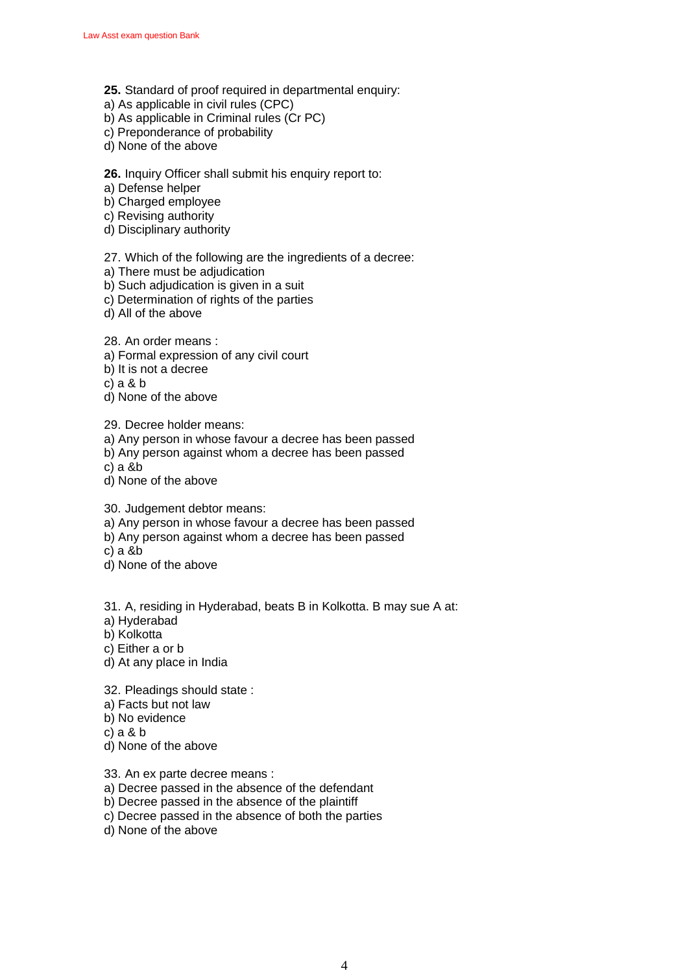- **25.** Standard of proof required in departmental enquiry:
- a) As applicable in civil rules (CPC)
- b) As applicable in Criminal rules (Cr PC)
- c) Preponderance of probability
- d) None of the above

### **26.** Inquiry Officer shall submit his enquiry report to:

- a) Defense helper
- b) Charged employee
- c) Revising authority
- d) Disciplinary authority

### 27. Which of the following are the ingredients of a decree:

- a) There must be adjudication
- b) Such adjudication is given in a suit
- c) Determination of rights of the parties
- d) All of the above

28. An order means :

- a) Formal expression of any civil court
- b) It is not a decree
- c) a & b
- d) None of the above

29. Decree holder means:

a) Any person in whose favour a decree has been passed

- b) Any person against whom a decree has been passed
- c) a &b
- d) None of the above

30. Judgement debtor means:

- a) Any person in whose favour a decree has been passed
- b) Any person against whom a decree has been passed
- c) a &b
- d) None of the above

31. A, residing in Hyderabad, beats B in Kolkotta. B may sue A at:

- a) Hyderabad
- b) Kolkotta
- c) Either a or b
- d) At any place in India

32. Pleadings should state :

- a) Facts but not law
- b) No evidence
- c) a & b
- d) None of the above

33. An ex parte decree means :

- a) Decree passed in the absence of the defendant
- b) Decree passed in the absence of the plaintiff
- c) Decree passed in the absence of both the parties
- d) None of the above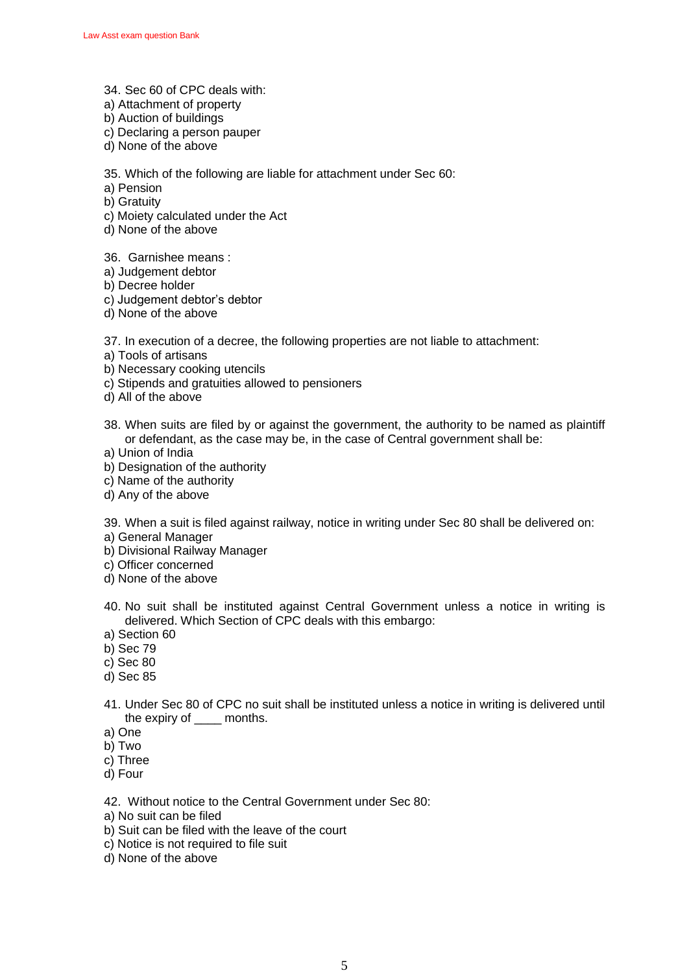- 34. Sec 60 of CPC deals with:
- a) Attachment of property
- b) Auction of buildings
- c) Declaring a person pauper
- d) None of the above

35. Which of the following are liable for attachment under Sec 60:

- a) Pension
- b) Gratuity
- c) Moiety calculated under the Act
- d) None of the above
- 36. Garnishee means :
- a) Judgement debtor
- b) Decree holder
- c) Judgement debtor's debtor
- d) None of the above

37. In execution of a decree, the following properties are not liable to attachment:

- a) Tools of artisans
- b) Necessary cooking utencils
- c) Stipends and gratuities allowed to pensioners
- d) All of the above
- 38. When suits are filed by or against the government, the authority to be named as plaintiff or defendant, as the case may be, in the case of Central government shall be:
- a) Union of India
- b) Designation of the authority
- c) Name of the authority
- d) Any of the above

39. When a suit is filed against railway, notice in writing under Sec 80 shall be delivered on:

- a) General Manager
- b) Divisional Railway Manager
- c) Officer concerned
- d) None of the above
- 40. No suit shall be instituted against Central Government unless a notice in writing is delivered. Which Section of CPC deals with this embargo:
- a) Section 60
- b) Sec 79
- c) Sec 80
- d) Sec 85
- 41. Under Sec 80 of CPC no suit shall be instituted unless a notice in writing is delivered until the expiry of \_\_\_\_ months.
- a) One
- b) Two
- c) Three
- d) Four

42. Without notice to the Central Government under Sec 80:

- a) No suit can be filed
- b) Suit can be filed with the leave of the court
- c) Notice is not required to file suit
- d) None of the above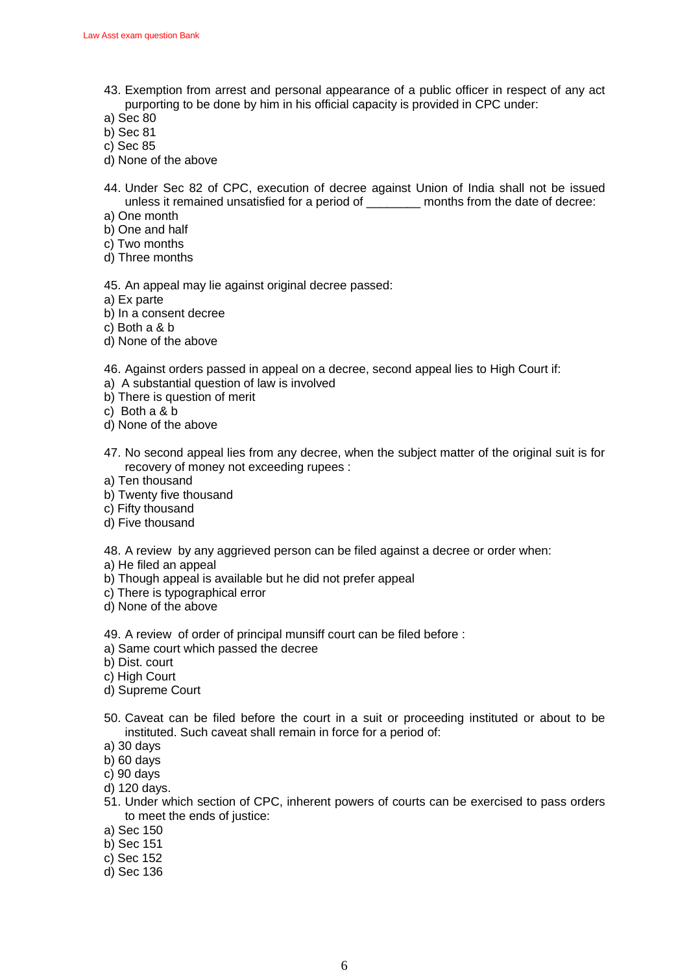43. Exemption from arrest and personal appearance of a public officer in respect of any act purporting to be done by him in his official capacity is provided in CPC under:

a) Sec 80

- b) Sec 81
- c) Sec 85
- d) None of the above
- 44. Under Sec 82 of CPC, execution of decree against Union of India shall not be issued unless it remained unsatisfied for a period of \_\_\_\_\_\_\_\_ months from the date of decree:
- a) One month
- b) One and half
- c) Two months
- d) Three months

45. An appeal may lie against original decree passed:

- a) Ex parte
- b) In a consent decree
- c) Both a & b
- d) None of the above

46. Against orders passed in appeal on a decree, second appeal lies to High Court if:

- a) A substantial question of law is involved
- b) There is question of merit
- c) Both a & b
- d) None of the above
- 47. No second appeal lies from any decree, when the subject matter of the original suit is for recovery of money not exceeding rupees :
- a) Ten thousand
- b) Twenty five thousand
- c) Fifty thousand
- d) Five thousand

48. A review by any aggrieved person can be filed against a decree or order when:

- a) He filed an appeal
- b) Though appeal is available but he did not prefer appeal
- c) There is typographical error
- d) None of the above

49. A review of order of principal munsiff court can be filed before :

- a) Same court which passed the decree
- b) Dist. court
- c) High Court
- d) Supreme Court
- 50. Caveat can be filed before the court in a suit or proceeding instituted or about to be instituted. Such caveat shall remain in force for a period of:
- a) 30 days
- b) 60 days
- c) 90 days
- d) 120 days.
- 51. Under which section of CPC, inherent powers of courts can be exercised to pass orders to meet the ends of justice:
- a) Sec 150
- b) Sec 151
- c) Sec 152
- d) Sec 136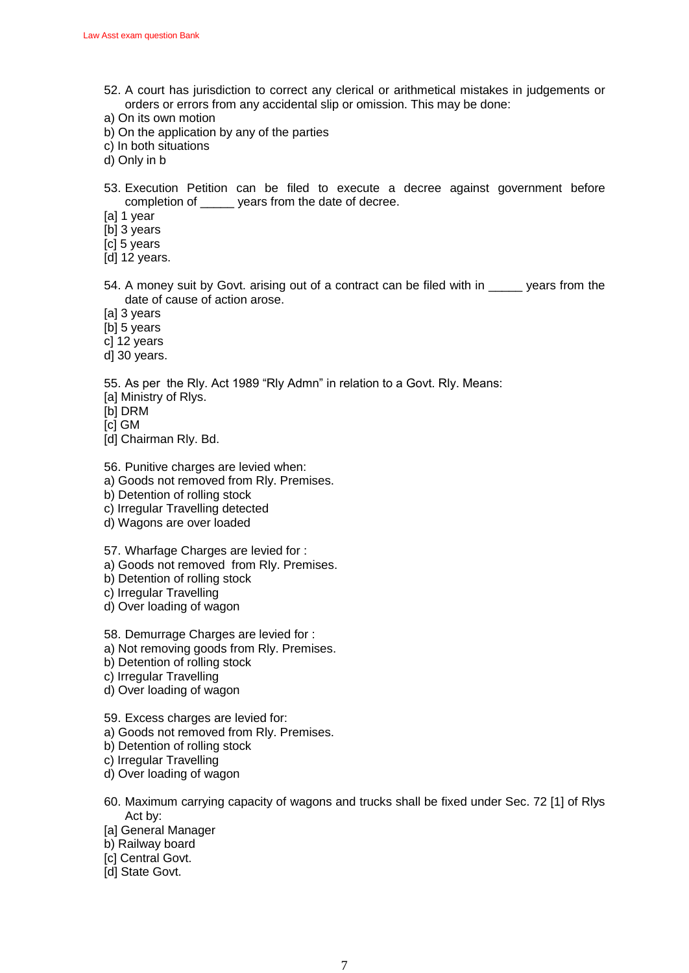- 52. A court has jurisdiction to correct any clerical or arithmetical mistakes in judgements or orders or errors from any accidental slip or omission. This may be done:
- a) On its own motion
- b) On the application by any of the parties
- c) In both situations
- d) Only in b
- 53. Execution Petition can be filed to execute a decree against government before completion of \_\_\_\_\_ years from the date of decree.
- [a] 1 year
- [b] 3 years
- [c] 5 years
- [d] 12 years.
- 54. A money suit by Goyt, arising out of a contract can be filed with in vears from the date of cause of action arose.
- [a] 3 years
- [b] 5 years
- c] 12 years
- d] 30 years.

55. As per the Rly. Act 1989 "Rly Admn" in relation to a Govt. Rly. Means:

- [a] Ministry of Rlys.
- [b] DRM
- [c] GM
- [d] Chairman Rly. Bd.
- 56. Punitive charges are levied when:
- a) Goods not removed from Rly. Premises.
- b) Detention of rolling stock
- c) Irregular Travelling detected
- d) Wagons are over loaded
- 57. Wharfage Charges are levied for :
- a) Goods not removed from Rly. Premises.
- b) Detention of rolling stock
- c) Irregular Travelling
- d) Over loading of wagon
- 58. Demurrage Charges are levied for :
- a) Not removing goods from Rly. Premises.
- b) Detention of rolling stock
- c) Irregular Travelling
- d) Over loading of wagon
- 59. Excess charges are levied for:
- a) Goods not removed from Rly. Premises.
- b) Detention of rolling stock
- c) Irregular Travelling
- d) Over loading of wagon
- 60. Maximum carrying capacity of wagons and trucks shall be fixed under Sec. 72 [1] of Rlys Act by:
- [a] General Manager
- b) Railway board
- [c] Central Govt.
- [d] State Govt.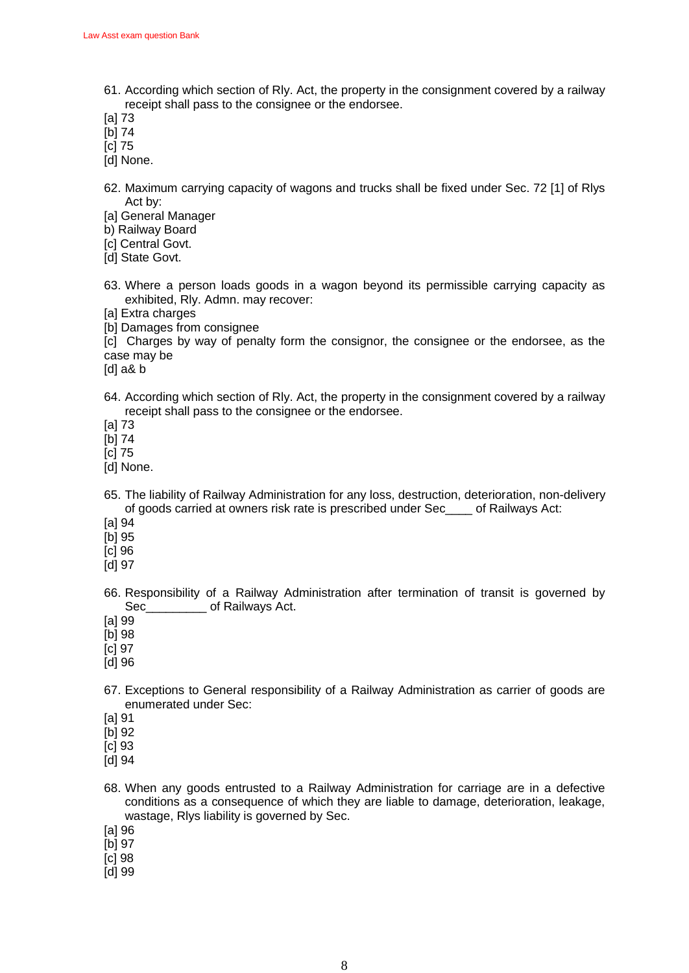61. According which section of Rly. Act, the property in the consignment covered by a railway receipt shall pass to the consignee or the endorsee.

[a] 73

- [b] 74
- [c] 75

[d] None.

62. Maximum carrying capacity of wagons and trucks shall be fixed under Sec. 72 [1] of Rlys Act by:

[a] General Manager

b) Railway Board

[c] Central Govt.

[d] State Govt.

63. Where a person loads goods in a wagon beyond its permissible carrying capacity as exhibited, Rly. Admn. may recover:

[a] Extra charges

[b] Damages from consignee

[c] Charges by way of penalty form the consignor, the consignee or the endorsee, as the case may be

[d] a& b

64. According which section of Rly. Act, the property in the consignment covered by a railway receipt shall pass to the consignee or the endorsee.

[a] 73

[b] 74

[c] 75

- [d] None.
- 65. The liability of Railway Administration for any loss, destruction, deterioration, non-delivery of goods carried at owners risk rate is prescribed under Sec\_\_\_\_ of Railways Act:

[a] 94

[b] 95

[c] 96

[d] 97

66. Responsibility of a Railway Administration after termination of transit is governed by Sec\_\_\_\_\_\_\_\_\_\_\_\_ of Railways Act.

[a] 99

[b] 98

[c] 97

- [d] 96
- 67. Exceptions to General responsibility of a Railway Administration as carrier of goods are enumerated under Sec:
- [a] 91

[b] 92

[c] 93

[d] 94

- 68. When any goods entrusted to a Railway Administration for carriage are in a defective conditions as a consequence of which they are liable to damage, deterioration, leakage, wastage, Rlys liability is governed by Sec.
- [a] 96

[b] 97

- [c] 98
- [d] 99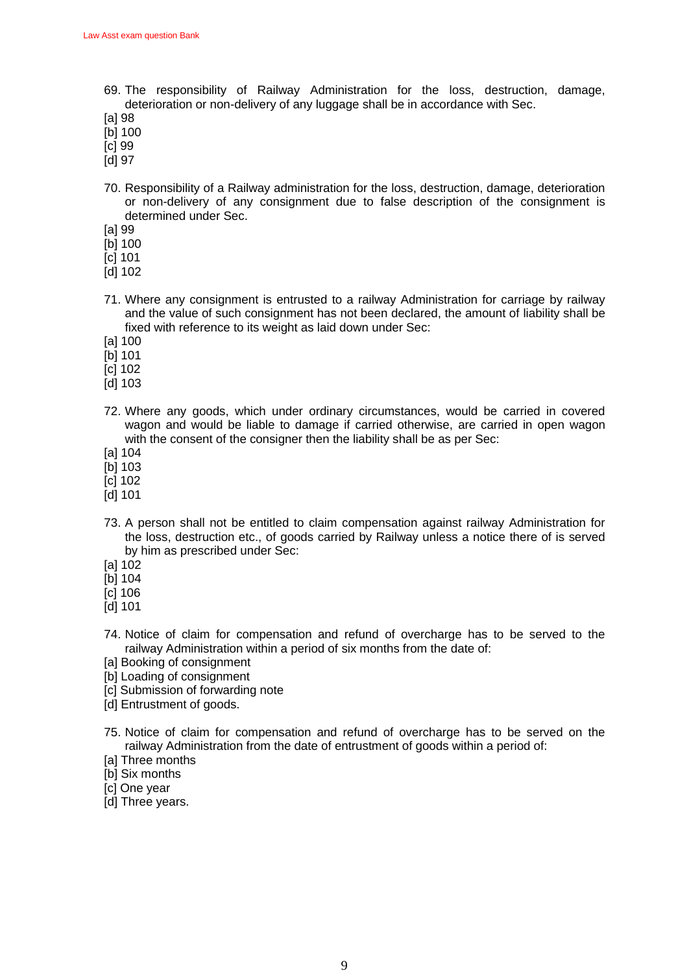- 69. The responsibility of Railway Administration for the loss, destruction, damage, deterioration or non-delivery of any luggage shall be in accordance with Sec.
- [a] 98
- [b] 100
- [c] 99
- [d] 97
- 70. Responsibility of a Railway administration for the loss, destruction, damage, deterioration or non-delivery of any consignment due to false description of the consignment is determined under Sec.
- [a] 99
- [b] 100
- [c] 101
- [d] 102
- 71. Where any consignment is entrusted to a railway Administration for carriage by railway and the value of such consignment has not been declared, the amount of liability shall be fixed with reference to its weight as laid down under Sec:
- [a] 100
- [b] 101
- [c] 102
- [d] 103
- 72. Where any goods, which under ordinary circumstances, would be carried in covered wagon and would be liable to damage if carried otherwise, are carried in open wagon with the consent of the consigner then the liability shall be as per Sec:
- [a] 104
- [b] 103
- [c] 102
- [d] 101
- 73. A person shall not be entitled to claim compensation against railway Administration for the loss, destruction etc., of goods carried by Railway unless a notice there of is served by him as prescribed under Sec:
- [a] 102
- [b] 104
- [c] 106
- [d] 101
- 74. Notice of claim for compensation and refund of overcharge has to be served to the railway Administration within a period of six months from the date of:
- [a] Booking of consignment
- [b] Loading of consignment
- [c] Submission of forwarding note
- [d] Entrustment of goods.
- 75. Notice of claim for compensation and refund of overcharge has to be served on the railway Administration from the date of entrustment of goods within a period of:
- [a] Three months
- [b] Six months
- [c] One year
- [d] Three years.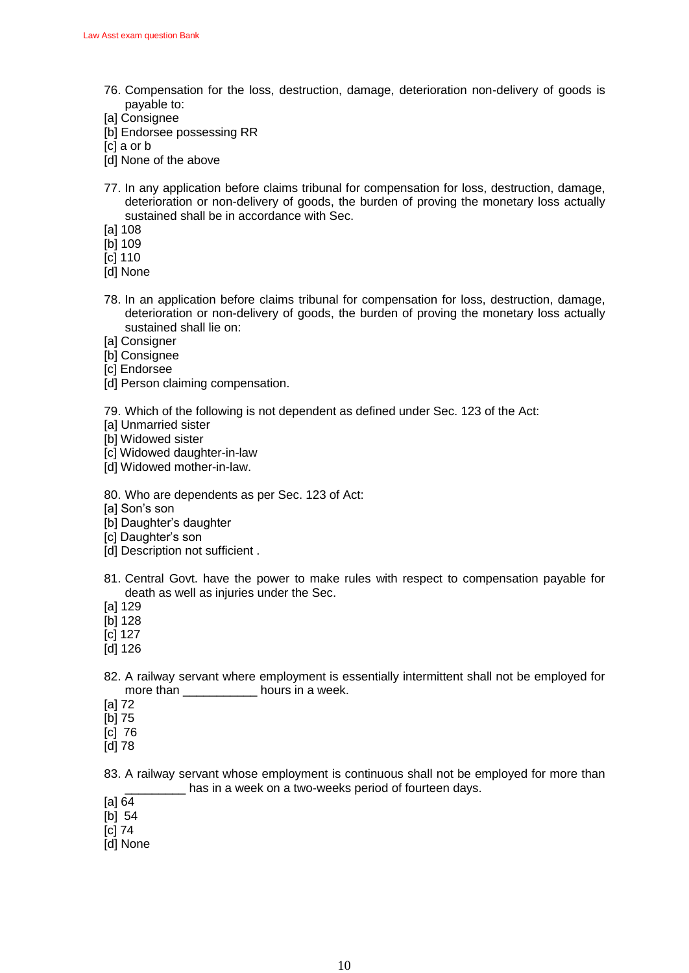- 76. Compensation for the loss, destruction, damage, deterioration non-delivery of goods is payable to:
- [a] Consignee
- [b] Endorsee possessing RR
- [c] a or b
- [d] None of the above
- 77. In any application before claims tribunal for compensation for loss, destruction, damage, deterioration or non-delivery of goods, the burden of proving the monetary loss actually sustained shall be in accordance with Sec.
- [a] 108
- [b] 109
- [c] 110
- [d] None
- 78. In an application before claims tribunal for compensation for loss, destruction, damage, deterioration or non-delivery of goods, the burden of proving the monetary loss actually sustained shall lie on:
- [a] Consigner
- [b] Consignee
- [c] Endorsee
- [d] Person claiming compensation.

79. Which of the following is not dependent as defined under Sec. 123 of the Act:

- **[a] Unmarried sister**
- [b] Widowed sister
- [c] Widowed daughter-in-law
- [d] Widowed mother-in-law.
- 80. Who are dependents as per Sec. 123 of Act:
- [a] Son's son
- [b] Daughter's daughter
- [c] Daughter's son
- [d] Description not sufficient.
- 81. Central Govt. have the power to make rules with respect to compensation payable for death as well as injuries under the Sec.
- [a] 129
- [b] 128
- [c] 127
- [d] 126
- 82. A railway servant where employment is essentially intermittent shall not be employed for more than bours in a week.
- [a] 72
- [b] 75
- [c] 76
- [d] 78

83. A railway servant whose employment is continuous shall not be employed for more than \_\_\_\_\_\_\_\_\_ has in a week on a two-weeks period of fourteen days.

- [a] 64
- $[b]$  54
- [c] 74
- [d] None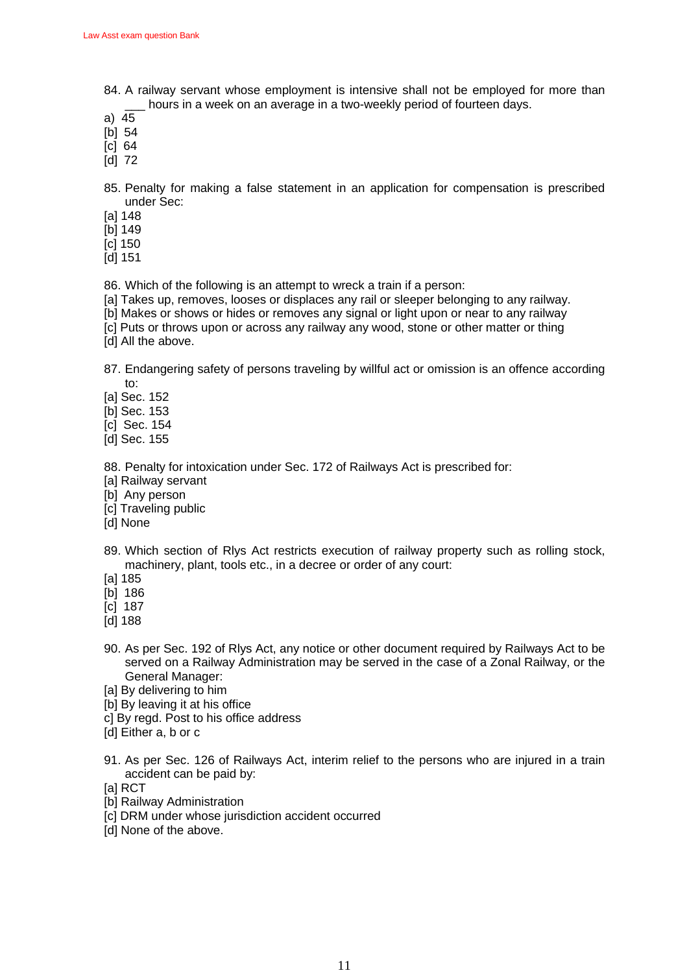- 84. A railway servant whose employment is intensive shall not be employed for more than hours in a week on an average in a two-weekly period of fourteen days.
- a) 45
- [b] 54
- [c] 64
- [d] 72

85. Penalty for making a false statement in an application for compensation is prescribed under Sec:

- [a] 148
- [b] 149
- [c] 150
- [d] 151

86. Which of the following is an attempt to wreck a train if a person:

- [a] Takes up, removes, looses or displaces any rail or sleeper belonging to any railway.
- [b] Makes or shows or hides or removes any signal or light upon or near to any railway
- [c] Puts or throws upon or across any railway any wood, stone or other matter or thing
- [d] All the above.

87. Endangering safety of persons traveling by willful act or omission is an offence according to:

- [a] Sec. 152
- [b] Sec. 153
- [c] Sec. 154
- [d] Sec. 155

88. Penalty for intoxication under Sec. 172 of Railways Act is prescribed for:

- [a] Railway servant
- [b] Any person
- [c] Traveling public
- [d] None
- 89. Which section of Rlys Act restricts execution of railway property such as rolling stock, machinery, plant, tools etc., in a decree or order of any court:
- [a] 185
- [b] 186
- [c] 187
- [d] 188
- 90. As per Sec. 192 of Rlys Act, any notice or other document required by Railways Act to be served on a Railway Administration may be served in the case of a Zonal Railway, or the General Manager:
- [a] By delivering to him
- [b] By leaving it at his office
- c] By regd. Post to his office address
- [d] Either a, b or c
- 91. As per Sec. 126 of Railways Act, interim relief to the persons who are injured in a train accident can be paid by:
- [a] RCT
- [b] Railway Administration
- [c] DRM under whose jurisdiction accident occurred
- [d] None of the above.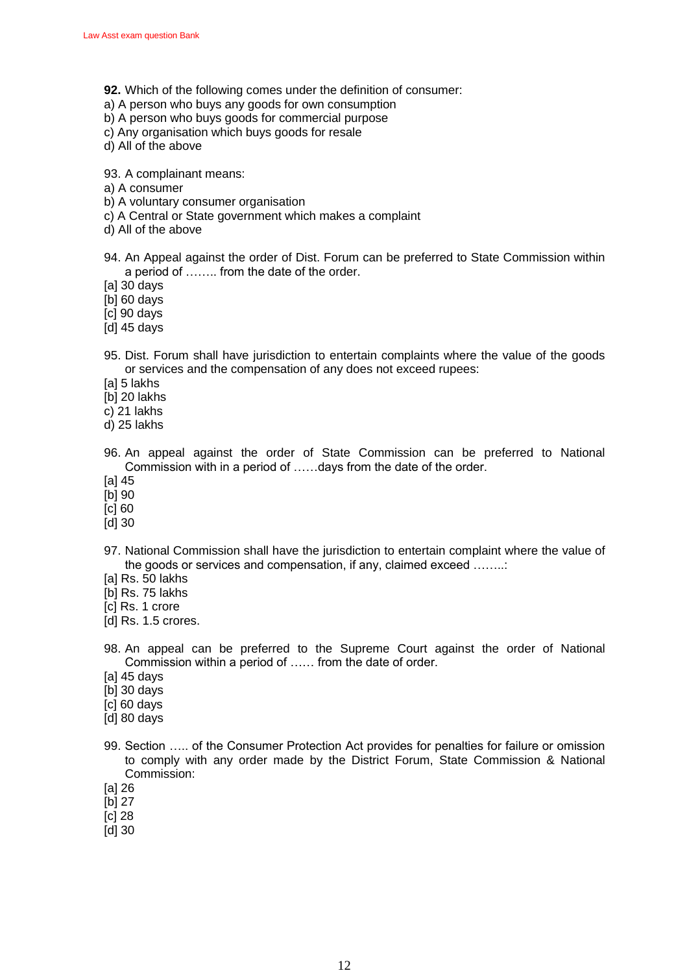- **92.** Which of the following comes under the definition of consumer:
- a) A person who buys any goods for own consumption
- b) A person who buys goods for commercial purpose
- c) Any organisation which buys goods for resale
- d) All of the above

93. A complainant means:

- a) A consumer
- b) A voluntary consumer organisation
- c) A Central or State government which makes a complaint
- d) All of the above
- 94. An Appeal against the order of Dist. Forum can be preferred to State Commission within a period of …….. from the date of the order.
- [a] 30 days
- [b] 60 days
- [c] 90 days
- [d] 45 days
- 95. Dist. Forum shall have jurisdiction to entertain complaints where the value of the goods or services and the compensation of any does not exceed rupees:
- [a] 5 lakhs
- [b] 20 lakhs
- c) 21 lakhs
- d) 25 lakhs
- 96. An appeal against the order of State Commission can be preferred to National Commission with in a period of ……days from the date of the order.
- [a] 45
- [b] 90
- [c] 60
- [d] 30
- 97. National Commission shall have the jurisdiction to entertain complaint where the value of the goods or services and compensation, if any, claimed exceed ……..:
- [a] Rs. 50 lakhs
- [b] Rs. 75 lakhs
- [c] Rs. 1 crore
- [d] Rs. 1.5 crores.
- 98. An appeal can be preferred to the Supreme Court against the order of National Commission within a period of …… from the date of order.
- [a] 45 days
- [b] 30 days
- [c] 60 days
- [d] 80 days
- 99. Section ….. of the Consumer Protection Act provides for penalties for failure or omission to comply with any order made by the District Forum, State Commission & National Commission:
- [a] 26
- [b] 27
- [c] 28
- [d] 30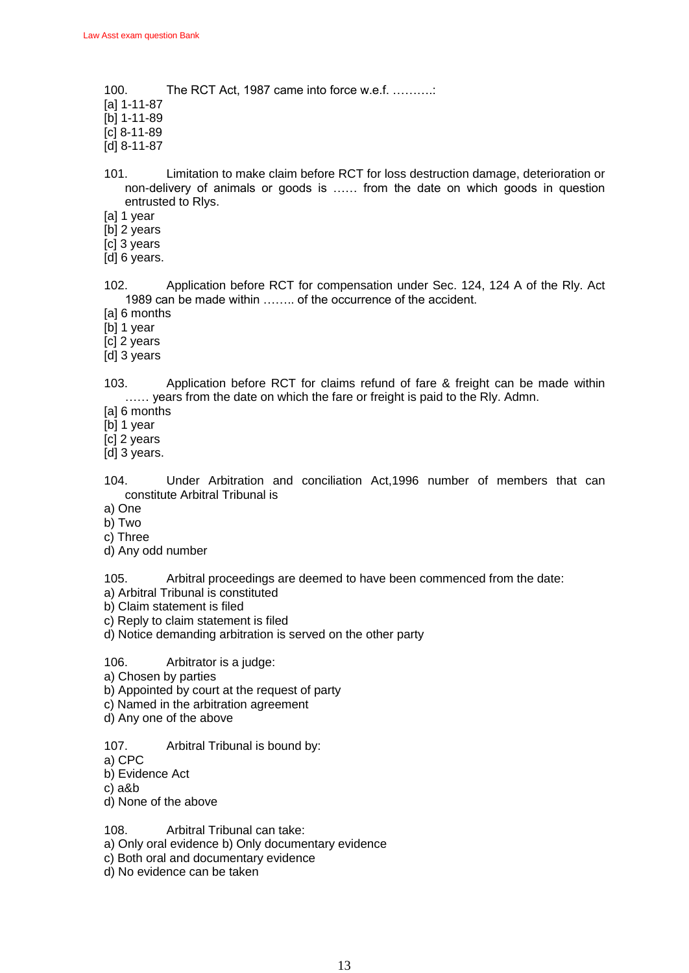100. The RCT Act, 1987 came into force w.e.f. ……….

- [a] 1-11-87
- [b] 1-11-89
- [c] 8-11-89
- [d] 8-11-87
- 101. Limitation to make claim before RCT for loss destruction damage, deterioration or non-delivery of animals or goods is …… from the date on which goods in question entrusted to Rlys.
- [a] 1 year
- [b] 2 years
- [c] 3 years
- [d] 6 years.
- 102. Application before RCT for compensation under Sec. 124, 124 A of the Rly. Act 1989 can be made within …….. of the occurrence of the accident.
- [a] 6 months
- [b] 1 year
- [c] 2 years
- [d] 3 years
- 103. Application before RCT for claims refund of fare & freight can be made within ...... years from the date on which the fare or freight is paid to the Rly. Admn.
- [a] 6 months
- [b] 1 year
- [c] 2 years
- [d] 3 years.
- 104. Under Arbitration and conciliation Act,1996 number of members that can constitute Arbitral Tribunal is
- a) One
- b) Two
- c) Three
- d) Any odd number
- 105. Arbitral proceedings are deemed to have been commenced from the date:
- a) Arbitral Tribunal is constituted
- b) Claim statement is filed
- c) Reply to claim statement is filed
- d) Notice demanding arbitration is served on the other party

### 106. Arbitrator is a judge:

- a) Chosen by parties
- b) Appointed by court at the request of party
- c) Named in the arbitration agreement
- d) Any one of the above
- 107. Arbitral Tribunal is bound by:
- a) CPC
- b) Evidence Act
- c) a&b
- d) None of the above

108. Arbitral Tribunal can take:

- a) Only oral evidence b) Only documentary evidence
- c) Both oral and documentary evidence
- d) No evidence can be taken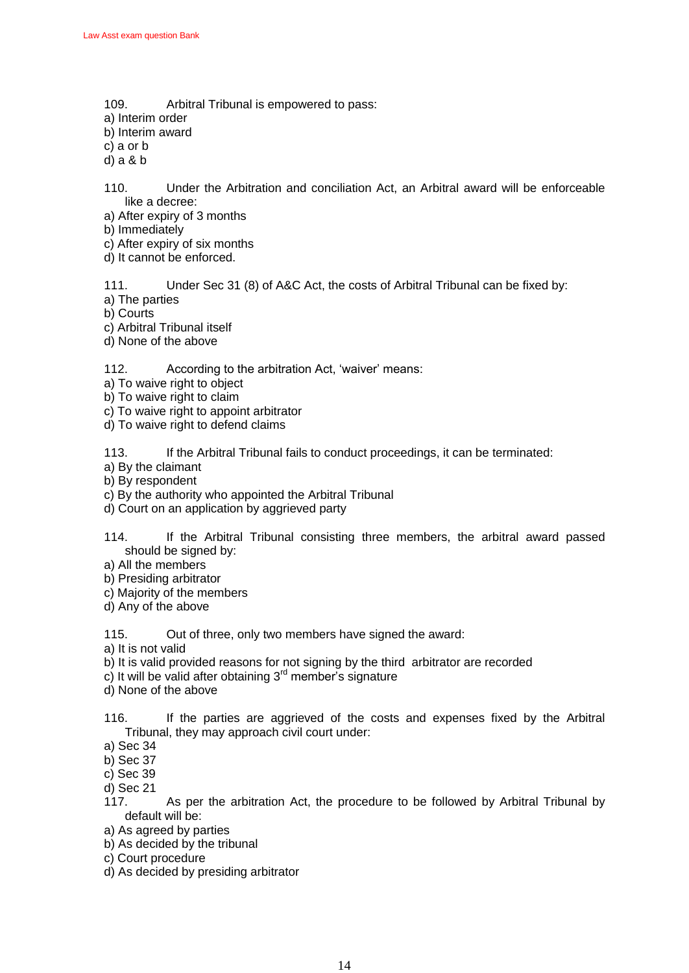- 109. Arbitral Tribunal is empowered to pass:
- a) Interim order
- b) Interim award
- c) a or b
- d) a & b
- 110. Under the Arbitration and conciliation Act, an Arbitral award will be enforceable like a decree:
- a) After expiry of 3 months
- b) Immediately
- c) After expiry of six months
- d) It cannot be enforced.

111. Under Sec 31 (8) of A&C Act, the costs of Arbitral Tribunal can be fixed by:

- a) The parties
- b) Courts
- c) Arbitral Tribunal itself
- d) None of the above

112. According to the arbitration Act, 'waiver' means:

- a) To waive right to object
- b) To waive right to claim
- c) To waive right to appoint arbitrator
- d) To waive right to defend claims

113. If the Arbitral Tribunal fails to conduct proceedings, it can be terminated:

- a) By the claimant
- b) By respondent
- c) By the authority who appointed the Arbitral Tribunal
- d) Court on an application by aggrieved party
- 114. If the Arbitral Tribunal consisting three members, the arbitral award passed should be signed by:
- a) All the members
- b) Presiding arbitrator
- c) Majority of the members
- d) Any of the above

115. Out of three, only two members have signed the award:

a) It is not valid

- b) It is valid provided reasons for not signing by the third arbitrator are recorded
- c) It will be valid after obtaining  $3<sup>rd</sup>$  member's signature
- d) None of the above
- 116. If the parties are aggrieved of the costs and expenses fixed by the Arbitral Tribunal, they may approach civil court under:
- a) Sec 34
- b) Sec 37
- c) Sec 39
- d) Sec 21
- 117. As per the arbitration Act, the procedure to be followed by Arbitral Tribunal by default will be:
- a) As agreed by parties
- b) As decided by the tribunal
- c) Court procedure
- d) As decided by presiding arbitrator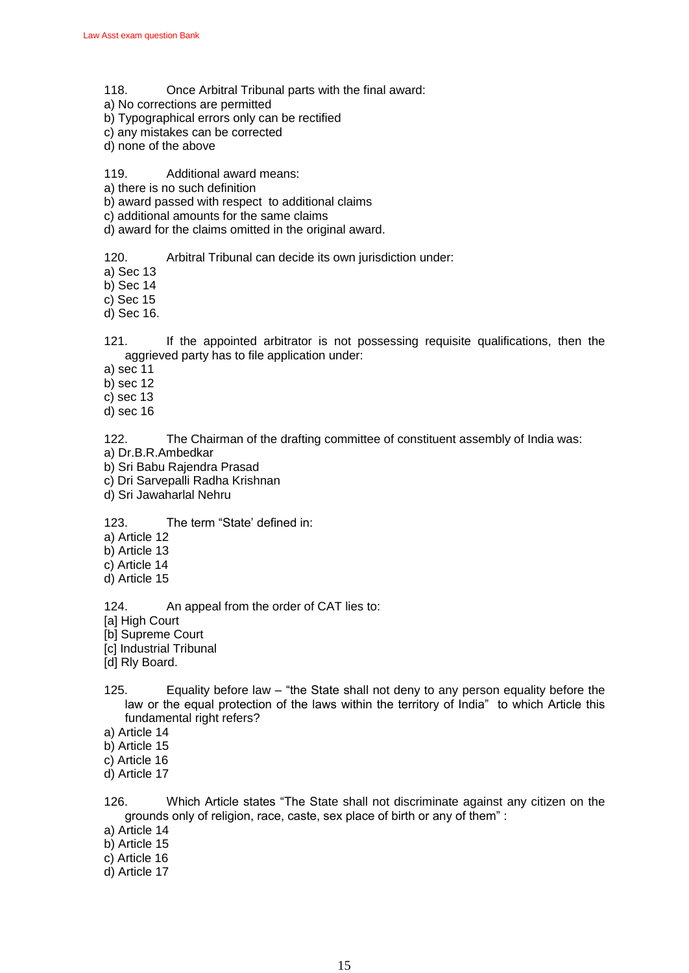- 118. Once Arbitral Tribunal parts with the final award:
- a) No corrections are permitted
- b) Typographical errors only can be rectified
- c) any mistakes can be corrected
- d) none of the above

### 119. Additional award means:

- a) there is no such definition
- b) award passed with respect to additional claims
- c) additional amounts for the same claims
- d) award for the claims omitted in the original award.
- 120. Arbitral Tribunal can decide its own jurisdiction under:
- a) Sec 13
- b) Sec 14
- c) Sec 15
- d) Sec 16.

121. If the appointed arbitrator is not possessing requisite qualifications, then the aggrieved party has to file application under:

- a) sec 11
- b) sec 12
- c) sec 13
- d) sec 16

122. The Chairman of the drafting committee of constituent assembly of India was:

- a) Dr.B.R.Ambedkar
- b) Sri Babu Rajendra Prasad
- c) Dri Sarvepalli Radha Krishnan
- d) Sri Jawaharlal Nehru
- 123. The term "State' defined in:
- a) Article 12
- b) Article 13
- c) Article 14
- d) Article 15
- 124. An appeal from the order of CAT lies to:
- [a] High Court
- [b] Supreme Court
- [c] Industrial Tribunal
- [d] Rly Board.
- 125. Equality before law  $-$  "the State shall not deny to any person equality before the law or the equal protection of the laws within the territory of India" to which Article this fundamental right refers?
- a) Article 14
- b) Article 15
- c) Article 16
- d) Article 17

126. Which Article states "The State shall not discriminate against any citizen on the grounds only of religion, race, caste, sex place of birth or any of them":

- a) Article 14
- b) Article 15
- c) Article 16
- d) Article 17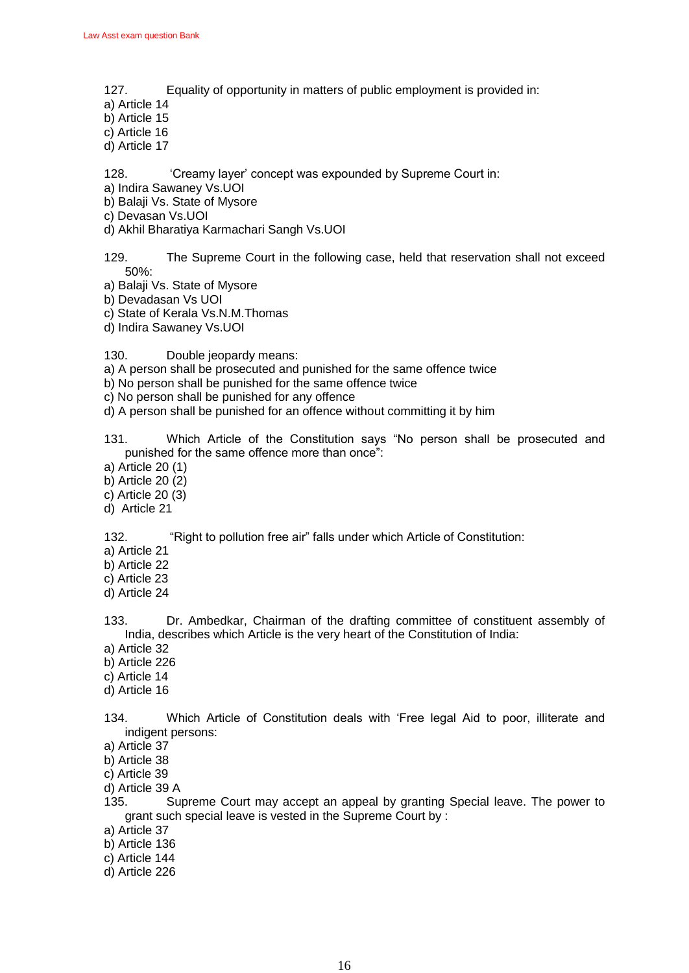- 127. Equality of opportunity in matters of public employment is provided in:
- a) Article 14
- b) Article 15
- c) Article 16
- d) Article 17

128. **Creamy layer' concept was expounded by Supreme Court in:** 

- a) Indira Sawaney Vs.UOI
- b) Balaji Vs. State of Mysore
- c) Devasan Vs.UOI
- d) Akhil Bharatiya Karmachari Sangh Vs.UOI
- 129. The Supreme Court in the following case, held that reservation shall not exceed 50%:
- a) Balaji Vs. State of Mysore
- b) Devadasan Vs UOI
- c) State of Kerala Vs.N.M.Thomas
- d) Indira Sawaney Vs.UOI

130. Double jeopardy means:

- a) A person shall be prosecuted and punished for the same offence twice
- b) No person shall be punished for the same offence twice
- c) No person shall be punished for any offence
- d) A person shall be punished for an offence without committing it by him
- 131. Which Article of the Constitution says "No person shall be prosecuted and punished for the same offence more than once":
- a) Article 20 (1)
- b) Article 20 (2)
- c) Article 20 (3)
- d) Article 21

132. "Right to pollution free air" falls under which Article of Constitution:

- a) Article 21
- b) Article 22
- c) Article 23
- d) Article 24

133. Dr. Ambedkar, Chairman of the drafting committee of constituent assembly of India, describes which Article is the very heart of the Constitution of India:

- a) Article 32
- b) Article 226
- c) Article 14
- d) Article 16

134. Which Article of Constitution deals with 'Free legal Aid to poor, illiterate and indigent persons:

- a) Article 37
- b) Article 38
- c) Article 39
- d) Article 39 A
- 135. Supreme Court may accept an appeal by granting Special leave. The power to grant such special leave is vested in the Supreme Court by :
- a) Article 37
- b) Article 136
- c) Article 144
- d) Article 226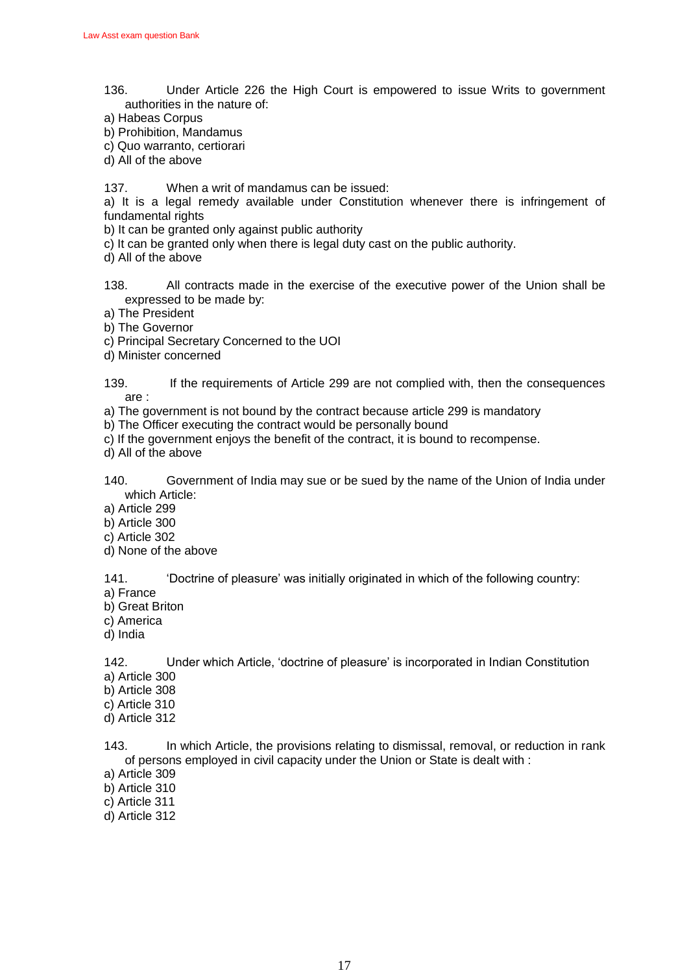- 136. Under Article 226 the High Court is empowered to issue Writs to government authorities in the nature of:
- a) Habeas Corpus
- b) Prohibition, Mandamus
- c) Quo warranto, certiorari
- d) All of the above
- 137. When a writ of mandamus can be issued:

a) It is a legal remedy available under Constitution whenever there is infringement of fundamental rights

- b) It can be granted only against public authority
- c) It can be granted only when there is legal duty cast on the public authority.
- d) All of the above
- 138. All contracts made in the exercise of the executive power of the Union shall be expressed to be made by:
- a) The President
- b) The Governor
- c) Principal Secretary Concerned to the UOI
- d) Minister concerned

139. If the requirements of Article 299 are not complied with, then the consequences are :

a) The government is not bound by the contract because article 299 is mandatory

- b) The Officer executing the contract would be personally bound
- c) If the government enjoys the benefit of the contract, it is bound to recompense.
- d) All of the above
- 140. Government of India may sue or be sued by the name of the Union of India under which Article:
- a) Article 299
- b) Article 300
- c) Article 302
- d) None of the above

141. • "Doctrine of pleasure' was initially originated in which of the following country:

- a) France
- b) Great Briton
- c) America
- d) India

142. Under which Article, ‗doctrine of pleasure' is incorporated in Indian Constitution

- a) Article 300
- b) Article 308
- c) Article 310
- d) Article 312

143. In which Article, the provisions relating to dismissal, removal, or reduction in rank of persons employed in civil capacity under the Union or State is dealt with :

- a) Article 309
- b) Article 310
- c) Article 311
- d) Article 312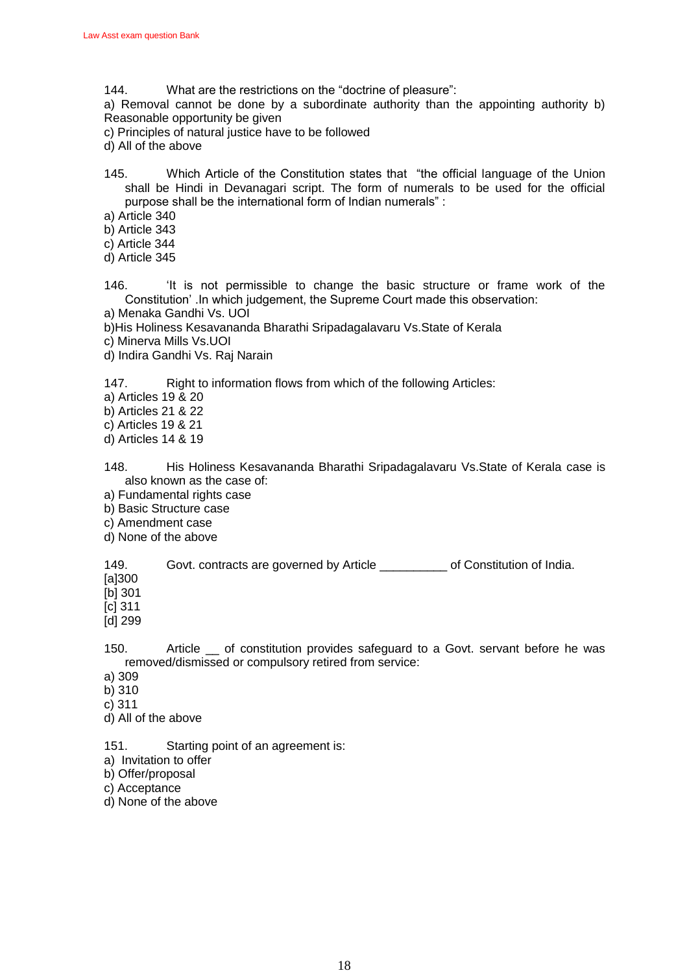144. What are the restrictions on the "doctrine of pleasure":

a) Removal cannot be done by a subordinate authority than the appointing authority b) Reasonable opportunity be given

- c) Principles of natural justice have to be followed
- d) All of the above
- 145. Which Article of the Constitution states that "the official language of the Union shall be Hindi in Devanagari script. The form of numerals to be used for the official purpose shall be the international form of Indian numerals":
- a) Article 340
- b) Article 343
- c) Article 344
- d) Article 345
- 146. 
It is not permissible to change the basic structure or frame work of the Constitution' .In which judgement, the Supreme Court made this observation:
- a) Menaka Gandhi Vs. UOI
- b)His Holiness Kesavananda Bharathi Sripadagalavaru Vs.State of Kerala
- c) Minerva Mills Vs.UOI
- d) Indira Gandhi Vs. Raj Narain

147. Right to information flows from which of the following Articles:

- a) Articles 19 & 20
- b) Articles 21 & 22
- c) Articles 19 & 21
- d) Articles 14 & 19
- 148. His Holiness Kesavananda Bharathi Sripadagalavaru Vs.State of Kerala case is also known as the case of:
- a) Fundamental rights case
- b) Basic Structure case
- c) Amendment case
- d) None of the above

149. Govt. contracts are governed by Article \_\_\_\_\_\_\_\_\_\_ of Constitution of India.

- [a]300
- [b] 301

[c] 311

[d] 299

150. Article of constitution provides safeguard to a Govt. servant before he was removed/dismissed or compulsory retired from service:

- a) 309
- b) 310
- c) 311
- d) All of the above
- 151. Starting point of an agreement is:
- a) Invitation to offer
- b) Offer/proposal
- c) Acceptance
- d) None of the above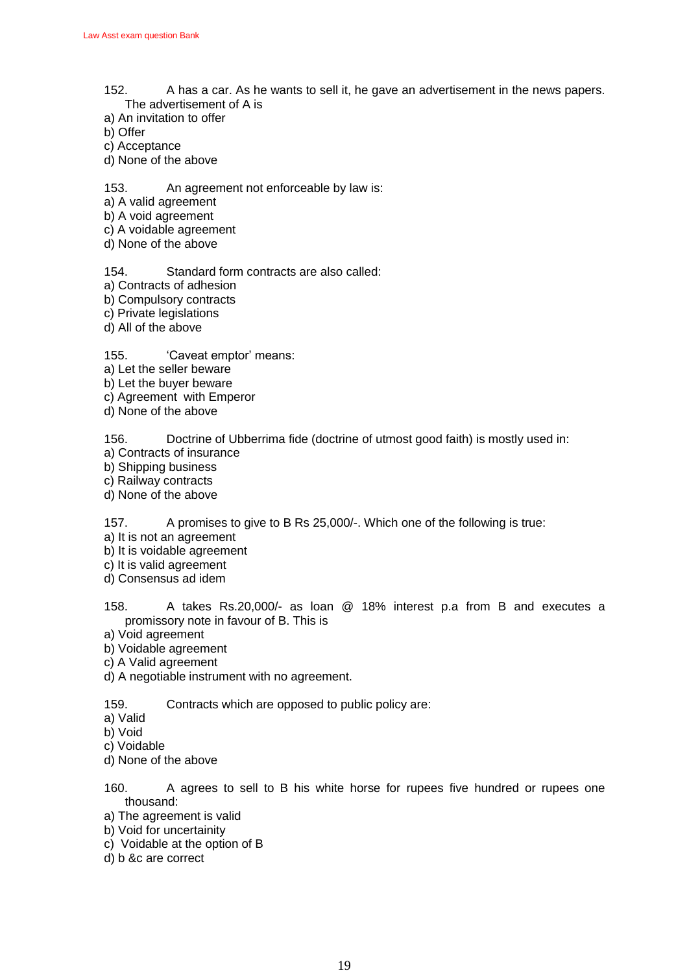- 152. A has a car. As he wants to sell it, he gave an advertisement in the news papers. The advertisement of A is
- a) An invitation to offer
- b) Offer
- c) Acceptance
- d) None of the above

153. An agreement not enforceable by law is:

- a) A valid agreement
- b) A void agreement
- c) A voidable agreement
- d) None of the above

154. Standard form contracts are also called:

- a) Contracts of adhesion
- b) Compulsory contracts
- c) Private legislations
- d) All of the above

155. **Caveat emptor' means:** 

- a) Let the seller beware
- b) Let the buyer beware
- c) Agreement with Emperor
- d) None of the above

156. Doctrine of Ubberrima fide (doctrine of utmost good faith) is mostly used in:

- a) Contracts of insurance
- b) Shipping business
- c) Railway contracts
- d) None of the above

157. A promises to give to B Rs 25,000/-. Which one of the following is true:

- a) It is not an agreement
- b) It is voidable agreement
- c) It is valid agreement
- d) Consensus ad idem
- 158. A takes Rs.20,000/- as loan @ 18% interest p.a from B and executes a promissory note in favour of B. This is
- a) Void agreement
- b) Voidable agreement
- c) A Valid agreement
- d) A negotiable instrument with no agreement.

159. Contracts which are opposed to public policy are:

- a) Valid
- b) Void
- c) Voidable
- d) None of the above
- 160. A agrees to sell to B his white horse for rupees five hundred or rupees one thousand:
- a) The agreement is valid
- b) Void for uncertainity
- c) Voidable at the option of B
- d) b &c are correct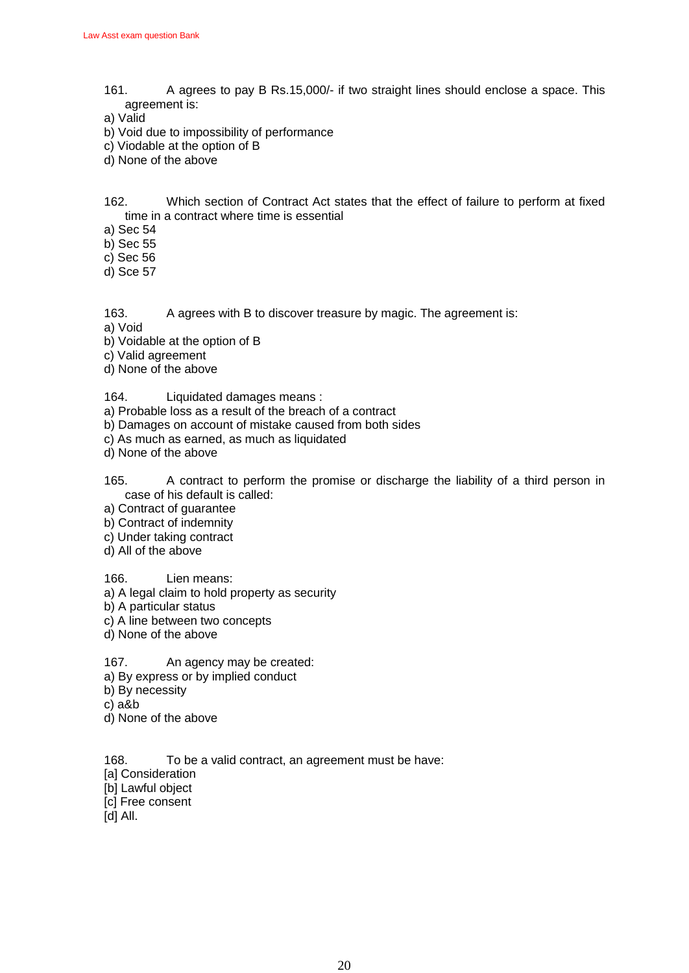- 161. A agrees to pay B Rs.15,000/- if two straight lines should enclose a space. This agreement is:
- a) Valid
- b) Void due to impossibility of performance
- c) Viodable at the option of B
- d) None of the above

162. Which section of Contract Act states that the effect of failure to perform at fixed time in a contract where time is essential

- a) Sec 54
- b) Sec 55
- c) Sec 56
- d) Sce 57

163. A agrees with B to discover treasure by magic. The agreement is:

- a) Void
- b) Voidable at the option of B
- c) Valid agreement
- d) None of the above

### 164. Liquidated damages means :

- a) Probable loss as a result of the breach of a contract
- b) Damages on account of mistake caused from both sides
- c) As much as earned, as much as liquidated
- d) None of the above
- 165. A contract to perform the promise or discharge the liability of a third person in case of his default is called:
- a) Contract of guarantee
- b) Contract of indemnity
- c) Under taking contract
- d) All of the above

166. Lien means:

- a) A legal claim to hold property as security
- b) A particular status
- c) A line between two concepts
- d) None of the above

167. An agency may be created:

- a) By express or by implied conduct
- b) By necessity
- c) a&b
- d) None of the above

168. To be a valid contract, an agreement must be have:

- [a] Consideration
- [b] Lawful object
- [c] Free consent
- [d] All.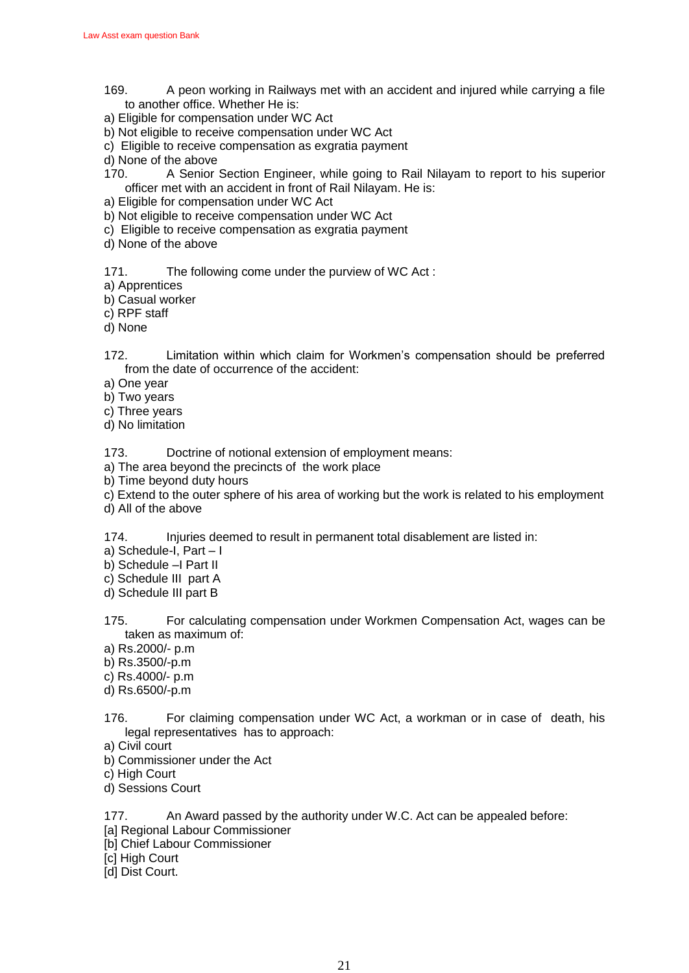- 169. A peon working in Railways met with an accident and injured while carrying a file to another office. Whether He is:
- a) Eligible for compensation under WC Act
- b) Not eligible to receive compensation under WC Act
- c) Eligible to receive compensation as exgratia payment
- d) None of the above
- 170. A Senior Section Engineer, while going to Rail Nilayam to report to his superior officer met with an accident in front of Rail Nilayam. He is:
- a) Eligible for compensation under WC Act
- b) Not eligible to receive compensation under WC Act
- c) Eligible to receive compensation as exgratia payment
- d) None of the above

171. The following come under the purview of WC Act :

- a) Apprentices
- b) Casual worker
- c) RPF staff
- d) None
- 172. Limitation within which claim for Workmen's compensation should be preferred from the date of occurrence of the accident:
- a) One year
- b) Two years
- c) Three years
- d) No limitation

173. Doctrine of notional extension of employment means:

- a) The area beyond the precincts of the work place
- b) Time beyond duty hours
- c) Extend to the outer sphere of his area of working but the work is related to his employment
- d) All of the above

174. Injuries deemed to result in permanent total disablement are listed in:

- a) Schedule-I, Part I
- b) Schedule –I Part II
- c) Schedule III part A
- d) Schedule III part B
- 175. For calculating compensation under Workmen Compensation Act, wages can be taken as maximum of:
- a) Rs.2000/- p.m
- b) Rs.3500/-p.m
- c) Rs.4000/- p.m
- d) Rs.6500/-p.m
- 176. For claiming compensation under WC Act, a workman or in case of death, his legal representatives has to approach:
- a) Civil court
- b) Commissioner under the Act
- c) High Court
- d) Sessions Court

177. An Award passed by the authority under W.C. Act can be appealed before:

- [a] Regional Labour Commissioner
- [b] Chief Labour Commissioner
- [c] High Court
- [d] Dist Court.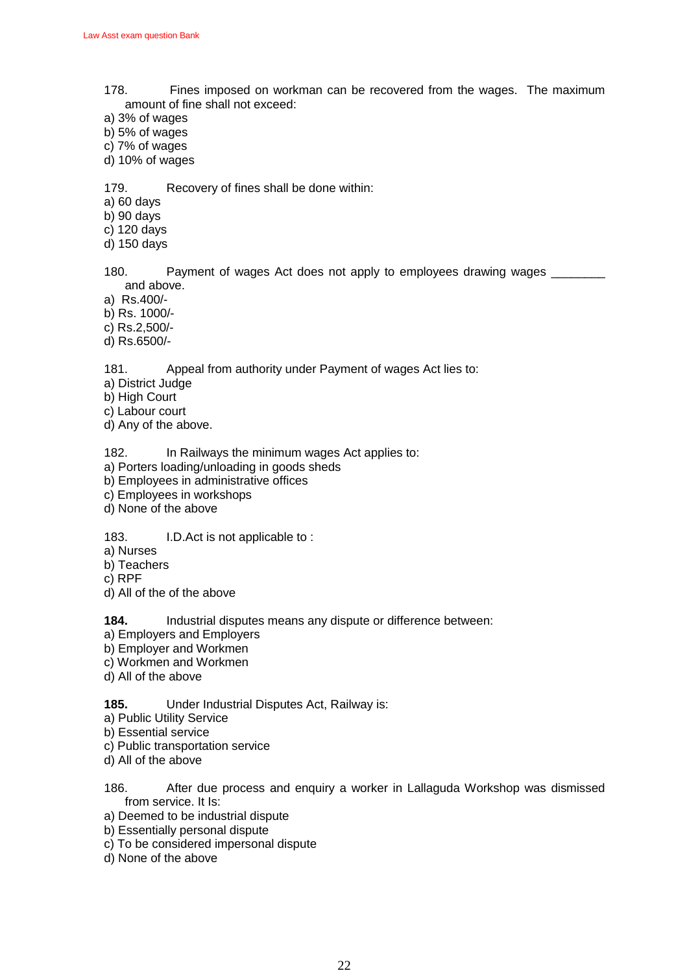- 178. Fines imposed on workman can be recovered from the wages. The maximum amount of fine shall not exceed:
- a) 3% of wages
- b) 5% of wages
- c) 7% of wages
- d) 10% of wages

179. Recovery of fines shall be done within:

a) 60 days

b) 90 days

c) 120 days

d) 150 days

180. Payment of wages Act does not apply to employees drawing wages and above.

a) Rs.400/-

- b) Rs. 1000/-
- c) Rs.2,500/-
- d) Rs.6500/-

181. Appeal from authority under Payment of wages Act lies to:

- a) District Judge
- b) High Court
- c) Labour court
- d) Any of the above.

182. In Railways the minimum wages Act applies to:

- a) Porters loading/unloading in goods sheds
- b) Employees in administrative offices
- c) Employees in workshops
- d) None of the above

183. I.D.Act is not applicable to :

- a) Nurses
- b) Teachers
- c) RPF
- d) All of the of the above

**184.** Industrial disputes means any dispute or difference between:

- a) Employers and Employers
- b) Employer and Workmen
- c) Workmen and Workmen
- d) All of the above
- **185.** Under Industrial Disputes Act, Railway is:
- a) Public Utility Service
- b) Essential service
- c) Public transportation service
- d) All of the above
- 186. After due process and enquiry a worker in Lallaguda Workshop was dismissed from service. It Is:
- a) Deemed to be industrial dispute
- b) Essentially personal dispute
- c) To be considered impersonal dispute
- d) None of the above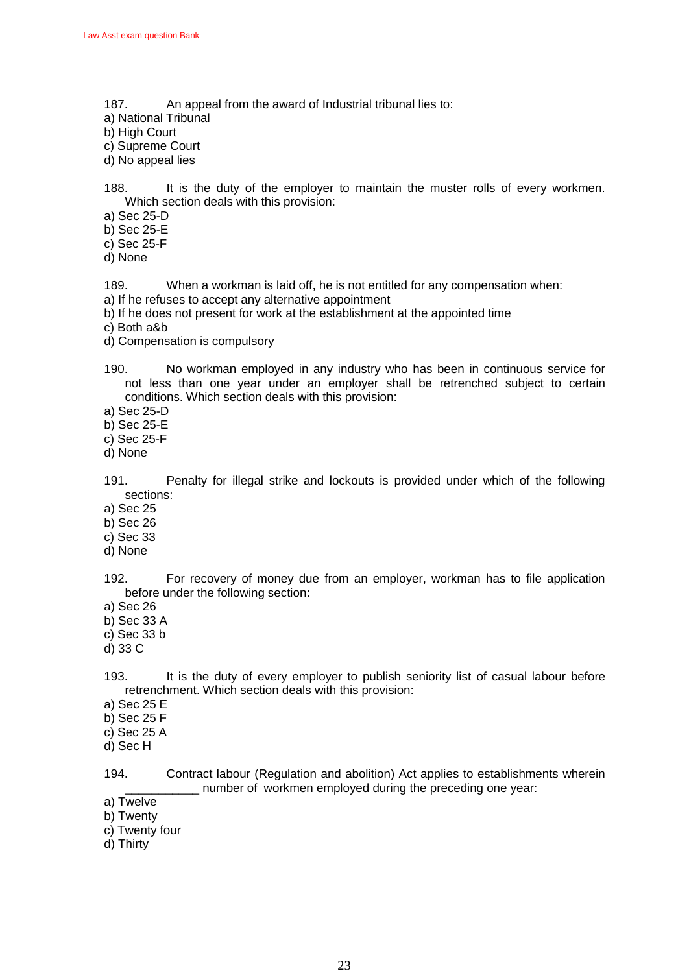- 187. An appeal from the award of Industrial tribunal lies to:
- a) National Tribunal
- b) High Court
- c) Supreme Court
- d) No appeal lies

188. It is the duty of the employer to maintain the muster rolls of every workmen. Which section deals with this provision:

- a) Sec 25-D
- b) Sec 25-E
- c) Sec 25-F
- d) None

189. When a workman is laid off, he is not entitled for any compensation when:

- a) If he refuses to accept any alternative appointment
- b) If he does not present for work at the establishment at the appointed time
- c) Both a&b
- d) Compensation is compulsory
- 190. No workman employed in any industry who has been in continuous service for not less than one year under an employer shall be retrenched subject to certain conditions. Which section deals with this provision:
- a) Sec 25-D
- b) Sec 25-E
- c) Sec 25-F
- d) None
- 191. Penalty for illegal strike and lockouts is provided under which of the following sections:
- a) Sec 25
- b) Sec 26
- c) Sec 33
- d) None

192. For recovery of money due from an employer, workman has to file application before under the following section:

- a) Sec 26
- b) Sec 33 A
- c) Sec 33 b
- d) 33 C

193. It is the duty of every employer to publish seniority list of casual labour before retrenchment. Which section deals with this provision:

- a) Sec 25 E
- b) Sec 25 F
- c) Sec 25 A
- d) Sec H

194. Contract labour (Regulation and abolition) Act applies to establishments wherein \_\_\_\_\_\_\_\_\_\_\_ number of workmen employed during the preceding one year:

- a) Twelve
- b) Twenty
- c) Twenty four
- d) Thirty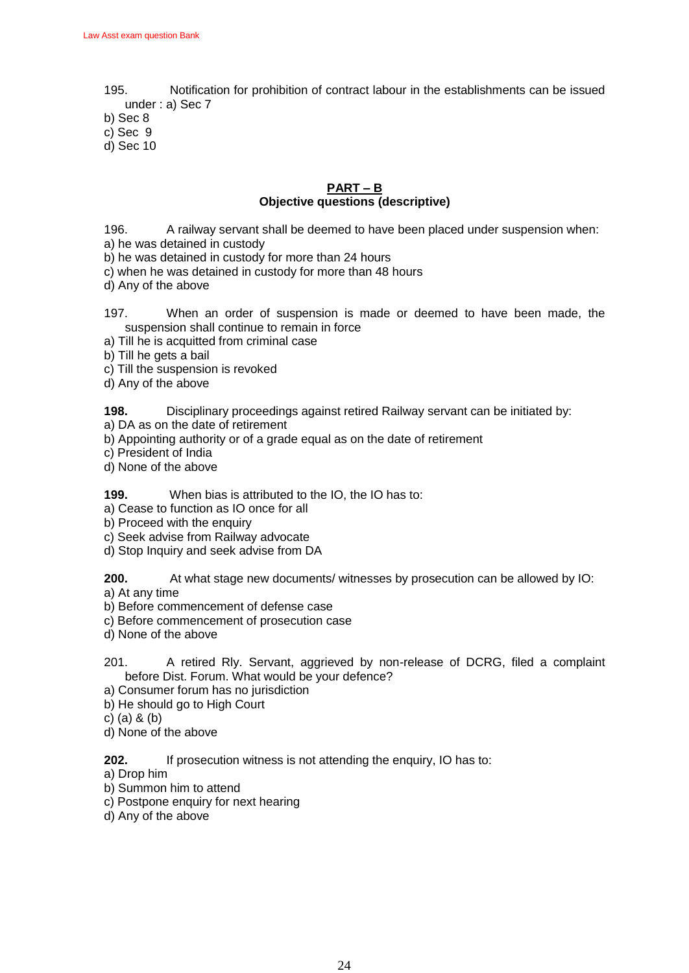195. Notification for prohibition of contract labour in the establishments can be issued under : a) Sec 7

b) Sec 8

c) Sec 9

d) Sec 10

### **PART – B Objective questions (descriptive)**

196. A railway servant shall be deemed to have been placed under suspension when:

- a) he was detained in custody
- b) he was detained in custody for more than 24 hours
- c) when he was detained in custody for more than 48 hours
- d) Any of the above
- 197. When an order of suspension is made or deemed to have been made, the suspension shall continue to remain in force
- a) Till he is acquitted from criminal case
- b) Till he gets a bail
- c) Till the suspension is revoked
- d) Any of the above

### **198.** Disciplinary proceedings against retired Railway servant can be initiated by:

- a) DA as on the date of retirement
- b) Appointing authority or of a grade equal as on the date of retirement
- c) President of India
- d) None of the above

### **199.** When bias is attributed to the IO, the IO has to:

- a) Cease to function as IO once for all
- b) Proceed with the enquiry
- c) Seek advise from Railway advocate
- d) Stop Inquiry and seek advise from DA

### **200.** At what stage new documents/ witnesses by prosecution can be allowed by IO:

- a) At any time
- b) Before commencement of defense case
- c) Before commencement of prosecution case
- d) None of the above
- 201. A retired Rly. Servant, aggrieved by non-release of DCRG, filed a complaint before Dist. Forum. What would be your defence?
- a) Consumer forum has no jurisdiction
- b) He should go to High Court
- c) (a) & (b)
- d) None of the above

**202.** If prosecution witness is not attending the enquiry, IO has to:

- a) Drop him
- b) Summon him to attend
- c) Postpone enquiry for next hearing
- d) Any of the above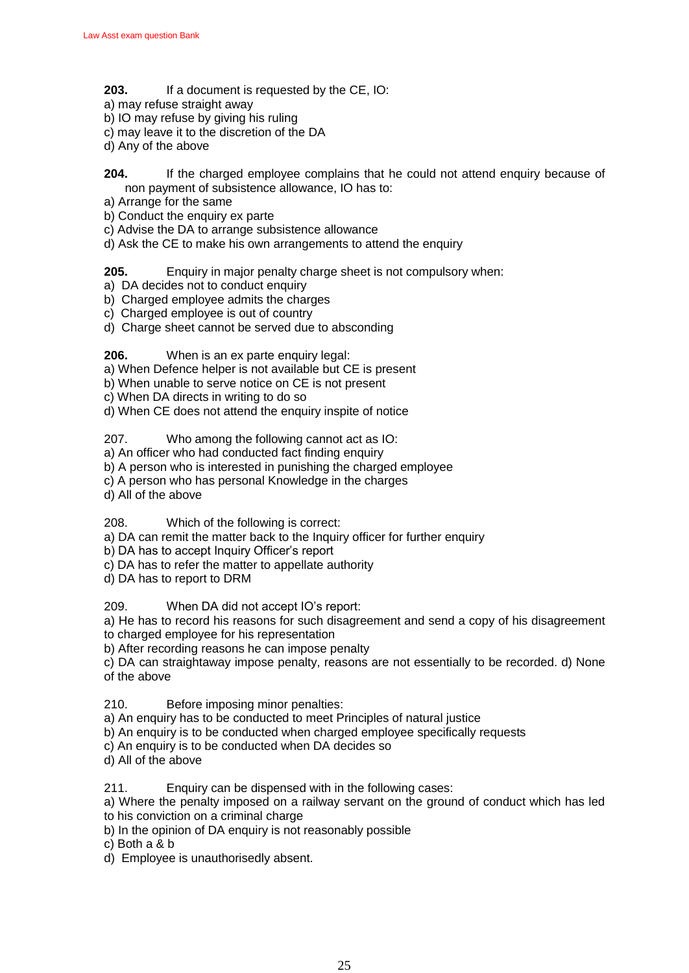- **203.** If a document is requested by the CE, IO:
- a) may refuse straight away
- b) IO may refuse by giving his ruling
- c) may leave it to the discretion of the DA
- d) Any of the above
- **204.** If the charged employee complains that he could not attend enquiry because of non payment of subsistence allowance, IO has to:
- a) Arrange for the same
- b) Conduct the enquiry ex parte
- c) Advise the DA to arrange subsistence allowance
- d) Ask the CE to make his own arrangements to attend the enquiry
- **205.** Enquiry in major penalty charge sheet is not compulsory when:
- a) DA decides not to conduct enquiry
- b) Charged employee admits the charges
- c) Charged employee is out of country
- d) Charge sheet cannot be served due to absconding

**206.** When is an ex parte enquiry legal:

- a) When Defence helper is not available but CE is present
- b) When unable to serve notice on CE is not present
- c) When DA directs in writing to do so
- d) When CE does not attend the enquiry inspite of notice

207. Who among the following cannot act as IO:

a) An officer who had conducted fact finding enquiry

- b) A person who is interested in punishing the charged employee
- c) A person who has personal Knowledge in the charges
- d) All of the above

208. Which of the following is correct:

- a) DA can remit the matter back to the Inquiry officer for further enquiry
- b) DA has to accept Inquiry Officer's report
- c) DA has to refer the matter to appellate authority
- d) DA has to report to DRM

209. When DA did not accept IO's report:

a) He has to record his reasons for such disagreement and send a copy of his disagreement to charged employee for his representation

b) After recording reasons he can impose penalty

c) DA can straightaway impose penalty, reasons are not essentially to be recorded. d) None of the above

210. Before imposing minor penalties:

- a) An enquiry has to be conducted to meet Principles of natural justice
- b) An enquiry is to be conducted when charged employee specifically requests
- c) An enquiry is to be conducted when DA decides so
- d) All of the above

211. Enquiry can be dispensed with in the following cases:

a) Where the penalty imposed on a railway servant on the ground of conduct which has led to his conviction on a criminal charge

- b) In the opinion of DA enquiry is not reasonably possible
- c) Both a & b
- d) Employee is unauthorisedly absent.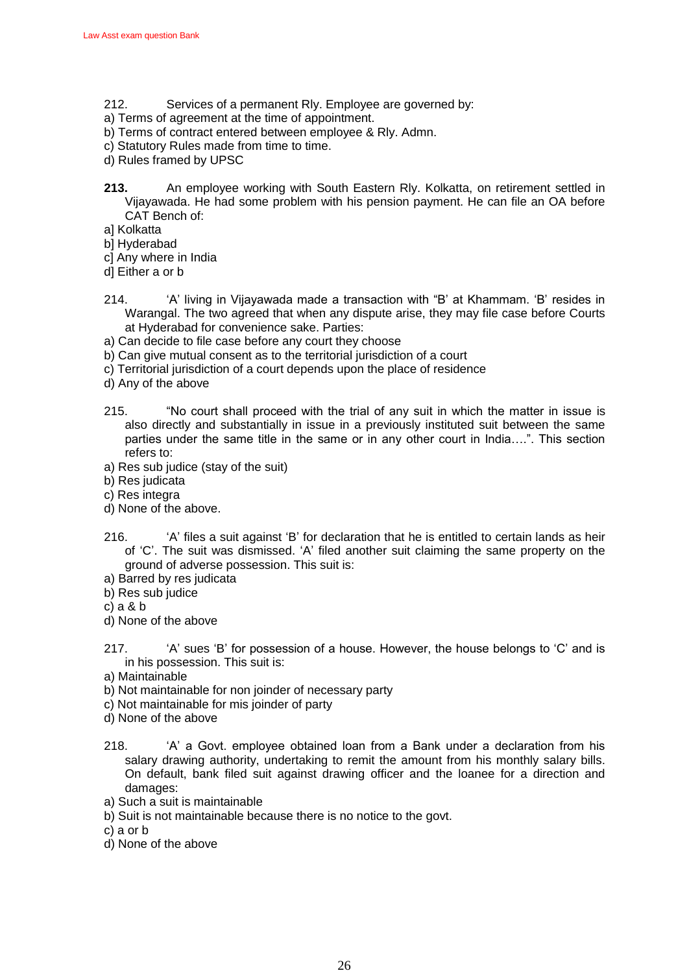- 212. Services of a permanent Rly. Employee are governed by:
- a) Terms of agreement at the time of appointment.
- b) Terms of contract entered between employee & Rly. Admn.
- c) Statutory Rules made from time to time.
- d) Rules framed by UPSC
- **213.** An employee working with South Eastern Rly. Kolkatta, on retirement settled in Vijayawada. He had some problem with his pension payment. He can file an OA before CAT Bench of:
- a] Kolkatta
- b] Hyderabad
- c] Any where in India
- d] Either a or b
- 214. •• A' living in Vijayawada made a transaction with "B' at Khammam. 'B' resides in Warangal. The two agreed that when any dispute arise, they may file case before Courts at Hyderabad for convenience sake. Parties:
- a) Can decide to file case before any court they choose
- b) Can give mutual consent as to the territorial jurisdiction of a court
- c) Territorial jurisdiction of a court depends upon the place of residence
- d) Any of the above
- 215. "No court shall proceed with the trial of any suit in which the matter in issue is also directly and substantially in issue in a previously instituted suit between the same parties under the same title in the same or in any other court in India....". This section refers to:
- a) Res sub judice (stay of the suit)
- b) Res judicata
- c) Res integra
- d) None of the above.
- 216. •• 'A' files a suit against 'B' for declaration that he is entitled to certain lands as heir of 'C'. The suit was dismissed. 'A' filed another suit claiming the same property on the ground of adverse possession. This suit is:
- a) Barred by res judicata
- b) Res sub judice
- c) a & b
- d) None of the above
- 217.  $A'$  sues 'B' for possession of a house. However, the house belongs to 'C' and is in his possession. This suit is:
- a) Maintainable
- b) Not maintainable for non joinder of necessary party
- c) Not maintainable for mis joinder of party
- d) None of the above
- 218.  $A'$  a Govt. employee obtained loan from a Bank under a declaration from his salary drawing authority, undertaking to remit the amount from his monthly salary bills. On default, bank filed suit against drawing officer and the loanee for a direction and damages:
- a) Such a suit is maintainable
- b) Suit is not maintainable because there is no notice to the govt.
- c) a or b
- d) None of the above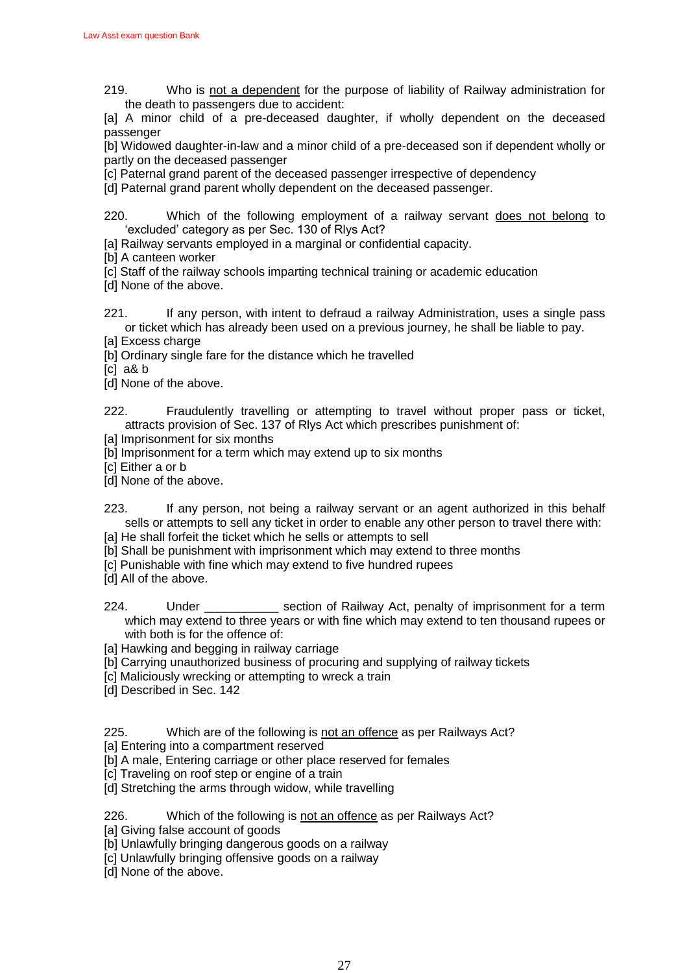219. Who is not a dependent for the purpose of liability of Railway administration for the death to passengers due to accident:

[a] A minor child of a pre-deceased daughter, if wholly dependent on the deceased passenger

[b] Widowed daughter-in-law and a minor child of a pre-deceased son if dependent wholly or partly on the deceased passenger

[c] Paternal grand parent of the deceased passenger irrespective of dependency

[d] Paternal grand parent wholly dependent on the deceased passenger.

220. Which of the following employment of a railway servant does not belong to 'excluded' category as per Sec. 130 of Riys Act?

- [a] Railway servants employed in a marginal or confidential capacity.
- [b] A canteen worker
- [c] Staff of the railway schools imparting technical training or academic education
- [d] None of the above.
- 221. If any person, with intent to defraud a railway Administration, uses a single pass or ticket which has already been used on a previous journey, he shall be liable to pay.
- [a] Excess charge
- [b] Ordinary single fare for the distance which he travelled

[c] a& b

[d] None of the above.

222. Fraudulently travelling or attempting to travel without proper pass or ticket, attracts provision of Sec. 137 of Rlys Act which prescribes punishment of:

- [a] Imprisonment for six months
- [b] Imprisonment for a term which may extend up to six months
- [c] Either a or b
- [d] None of the above.
- 223. If any person, not being a railway servant or an agent authorized in this behalf sells or attempts to sell any ticket in order to enable any other person to travel there with:
- [a] He shall forfeit the ticket which he sells or attempts to sell
- [b] Shall be punishment with imprisonment which may extend to three months
- [c] Punishable with fine which may extend to five hundred rupees
- [d] All of the above.
- 224. Under \_\_\_\_\_\_\_\_\_\_\_ section of Railway Act, penalty of imprisonment for a term which may extend to three years or with fine which may extend to ten thousand rupees or with both is for the offence of:
- [a] Hawking and begging in railway carriage
- [b] Carrying unauthorized business of procuring and supplying of railway tickets
- [c] Maliciously wrecking or attempting to wreck a train
- [d] Described in Sec. 142
- 225. Which are of the following is not an offence as per Railways Act?
- [a] Entering into a compartment reserved
- [b] A male, Entering carriage or other place reserved for females
- [c] Traveling on roof step or engine of a train
- [d] Stretching the arms through widow, while travelling

226. Which of the following is not an offence as per Railways Act?

- [a] Giving false account of goods
- [b] Unlawfully bringing dangerous goods on a railway
- [c] Unlawfully bringing offensive goods on a railway
- [d] None of the above.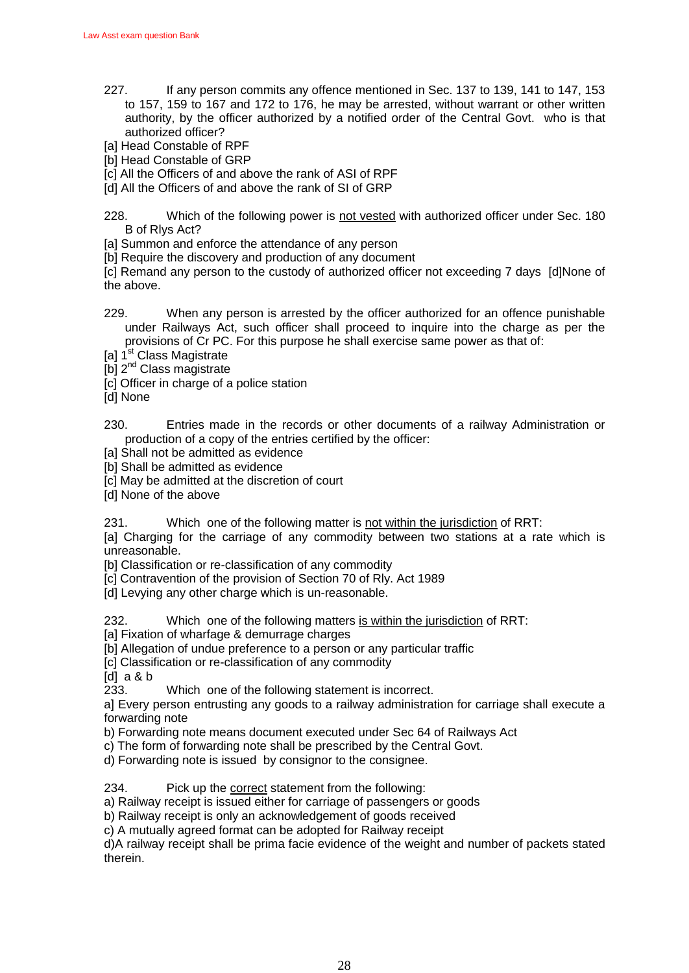- 227. If any person commits any offence mentioned in Sec. 137 to 139, 141 to 147, 153 to 157, 159 to 167 and 172 to 176, he may be arrested, without warrant or other written authority, by the officer authorized by a notified order of the Central Govt. who is that authorized officer?
- [a] Head Constable of RPF
- [b] Head Constable of GRP
- [c] All the Officers of and above the rank of ASI of RPF
- [d] All the Officers of and above the rank of SI of GRP

228. Which of the following power is not vested with authorized officer under Sec. 180 B of Rlys Act?

[a] Summon and enforce the attendance of any person

[b] Require the discovery and production of any document

[c] Remand any person to the custody of authorized officer not exceeding 7 days [d]None of the above.

- 229. When any person is arrested by the officer authorized for an offence punishable under Railways Act, such officer shall proceed to inquire into the charge as per the provisions of Cr PC. For this purpose he shall exercise same power as that of:
- [a] 1<sup>st</sup> Class Magistrate
- [b] 2<sup>nd</sup> Class magistrate

[c] Officer in charge of a police station

[d] None

230. Entries made in the records or other documents of a railway Administration or production of a copy of the entries certified by the officer:

[a] Shall not be admitted as evidence

[b] Shall be admitted as evidence

[c] May be admitted at the discretion of court

[d] None of the above

231. Which one of the following matter is not within the jurisdiction of RRT:

[a] Charging for the carriage of any commodity between two stations at a rate which is unreasonable.

[b] Classification or re-classification of any commodity

[c] Contravention of the provision of Section 70 of Rly. Act 1989

[d] Levying any other charge which is un-reasonable.

232. Which one of the following matters is within the jurisdiction of RRT:

[a] Fixation of wharfage & demurrage charges

[b] Allegation of undue preference to a person or any particular traffic

[c] Classification or re-classification of any commodity

[d] a & b

233. Which one of the following statement is incorrect.

a] Every person entrusting any goods to a railway administration for carriage shall execute a forwarding note

b) Forwarding note means document executed under Sec 64 of Railways Act

c) The form of forwarding note shall be prescribed by the Central Govt.

d) Forwarding note is issued by consignor to the consignee.

234. Pick up the correct statement from the following:

a) Railway receipt is issued either for carriage of passengers or goods

b) Railway receipt is only an acknowledgement of goods received

c) A mutually agreed format can be adopted for Railway receipt

d)A railway receipt shall be prima facie evidence of the weight and number of packets stated therein.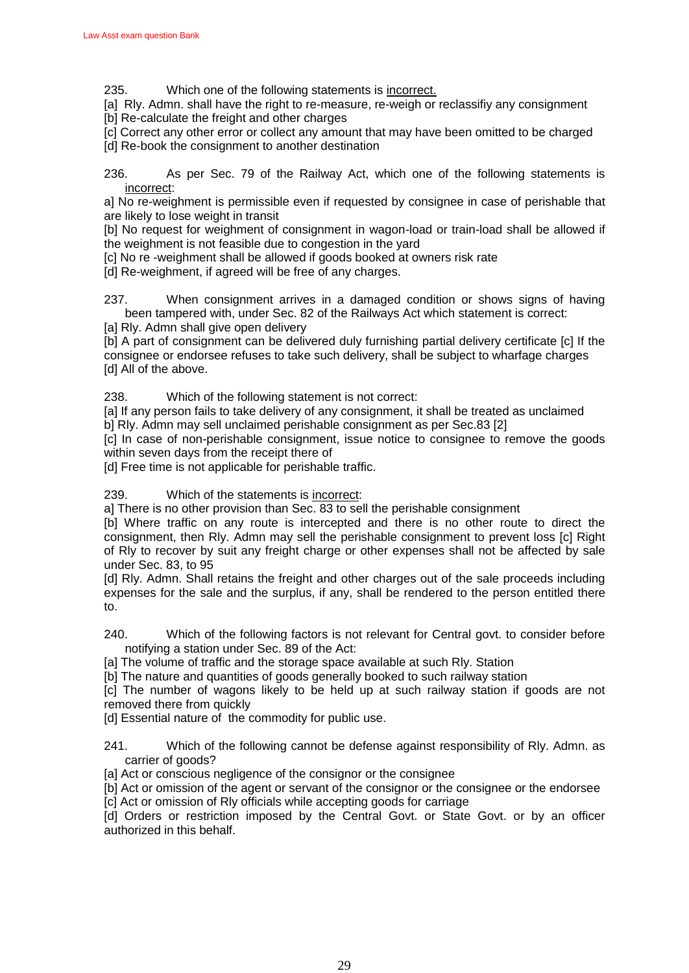235. Which one of the following statements is incorrect.

[a] Rly. Admn. shall have the right to re-measure, re-weigh or reclassifiy any consignment [b] Re-calculate the freight and other charges

[c] Correct any other error or collect any amount that may have been omitted to be charged [d] Re-book the consignment to another destination

236. As per Sec. 79 of the Railway Act, which one of the following statements is incorrect:

a] No re-weighment is permissible even if requested by consignee in case of perishable that are likely to lose weight in transit

[b] No request for weighment of consignment in wagon-load or train-load shall be allowed if the weighment is not feasible due to congestion in the yard

[c] No re -weighment shall be allowed if goods booked at owners risk rate

[d] Re-weighment, if agreed will be free of any charges.

237. When consignment arrives in a damaged condition or shows signs of having been tampered with, under Sec. 82 of the Railways Act which statement is correct:

[a] Rly. Admn shall give open delivery

[b] A part of consignment can be delivered duly furnishing partial delivery certificate [c] If the consignee or endorsee refuses to take such delivery, shall be subject to wharfage charges [d] All of the above.

238. Which of the following statement is not correct:

[a] If any person fails to take delivery of any consignment, it shall be treated as unclaimed b] Rly. Admn may sell unclaimed perishable consignment as per Sec.83 [2]

[c] In case of non-perishable consignment, issue notice to consignee to remove the goods within seven days from the receipt there of

[d] Free time is not applicable for perishable traffic.

239. Which of the statements is incorrect:

a] There is no other provision than Sec. 83 to sell the perishable consignment

[b] Where traffic on any route is intercepted and there is no other route to direct the consignment, then Rly. Admn may sell the perishable consignment to prevent loss [c] Right of Rly to recover by suit any freight charge or other expenses shall not be affected by sale under Sec. 83, to 95

[d] Rly. Admn. Shall retains the freight and other charges out of the sale proceeds including expenses for the sale and the surplus, if any, shall be rendered to the person entitled there to.

240. Which of the following factors is not relevant for Central govt. to consider before notifying a station under Sec. 89 of the Act:

[a] The volume of traffic and the storage space available at such Rly. Station

[b] The nature and quantities of goods generally booked to such railway station

[c] The number of wagons likely to be held up at such railway station if goods are not removed there from quickly

[d] Essential nature of the commodity for public use.

241. Which of the following cannot be defense against responsibility of Rly. Admn. as carrier of goods?

[a] Act or conscious negligence of the consignor or the consignee

[b] Act or omission of the agent or servant of the consignor or the consignee or the endorsee [c] Act or omission of Rly officials while accepting goods for carriage

[d] Orders or restriction imposed by the Central Govt. or State Govt. or by an officer authorized in this behalf.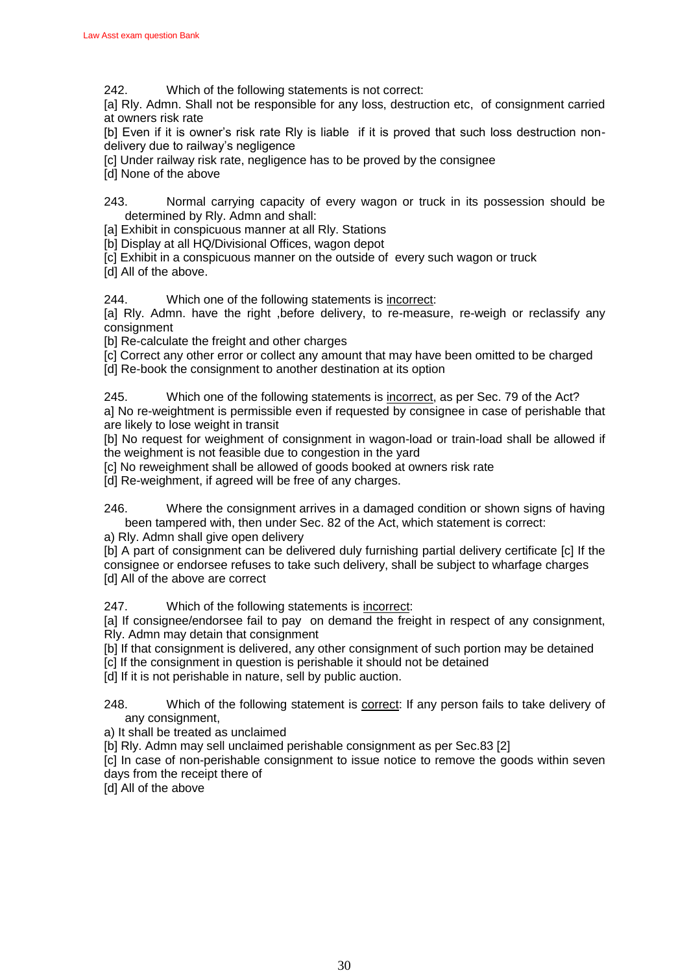242. Which of the following statements is not correct:

[a] Rly. Admn. Shall not be responsible for any loss, destruction etc, of consignment carried at owners risk rate

[b] Even if it is owner's risk rate Rly is liable if it is proved that such loss destruction nondelivery due to railway's negligence

[c] Under railway risk rate, negligence has to be proved by the consignee

[d] None of the above

243. Normal carrying capacity of every wagon or truck in its possession should be determined by Rly. Admn and shall:

[a] Exhibit in conspicuous manner at all Rly. Stations

[b] Display at all HQ/Divisional Offices, wagon depot

[c] Exhibit in a conspicuous manner on the outside of every such wagon or truck

[d] All of the above.

244. Which one of the following statements is incorrect:

[a] Rly. Admn. have the right ,before delivery, to re-measure, re-weigh or reclassify any consignment

[b] Re-calculate the freight and other charges

[c] Correct any other error or collect any amount that may have been omitted to be charged [d] Re-book the consignment to another destination at its option

245. Which one of the following statements is incorrect, as per Sec. 79 of the Act? a] No re-weightment is permissible even if requested by consignee in case of perishable that are likely to lose weight in transit

[b] No request for weighment of consignment in wagon-load or train-load shall be allowed if the weighment is not feasible due to congestion in the yard

[c] No reweighment shall be allowed of goods booked at owners risk rate

[d] Re-weighment, if agreed will be free of any charges.

246. Where the consignment arrives in a damaged condition or shown signs of having been tampered with, then under Sec. 82 of the Act, which statement is correct:

a) Rly. Admn shall give open delivery

[b] A part of consignment can be delivered duly furnishing partial delivery certificate [c] If the consignee or endorsee refuses to take such delivery, shall be subject to wharfage charges [d] All of the above are correct

247. Which of the following statements is incorrect:

[a] If consignee/endorsee fail to pay on demand the freight in respect of any consignment, Rly. Admn may detain that consignment

[b] If that consignment is delivered, any other consignment of such portion may be detained

[c] If the consignment in question is perishable it should not be detained

[d] If it is not perishable in nature, sell by public auction.

248. Which of the following statement is correct: If any person fails to take delivery of any consignment,

a) It shall be treated as unclaimed

[b] Rly. Admn may sell unclaimed perishable consignment as per Sec.83 [2]

[c] In case of non-perishable consignment to issue notice to remove the goods within seven days from the receipt there of

[d] All of the above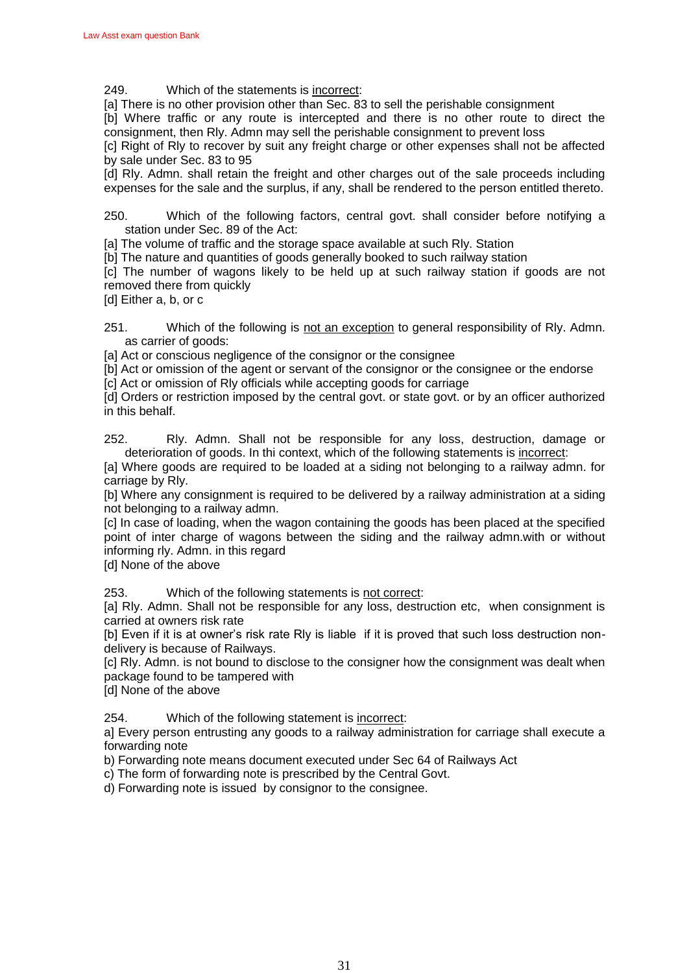249. Which of the statements is incorrect:

[a] There is no other provision other than Sec. 83 to sell the perishable consignment

[b] Where traffic or any route is intercepted and there is no other route to direct the consignment, then Rly. Admn may sell the perishable consignment to prevent loss

[c] Right of Rly to recover by suit any freight charge or other expenses shall not be affected by sale under Sec. 83 to 95

[d] Rly. Admn. shall retain the freight and other charges out of the sale proceeds including expenses for the sale and the surplus, if any, shall be rendered to the person entitled thereto.

250. Which of the following factors, central govt. shall consider before notifying a station under Sec. 89 of the Act:

[a] The volume of traffic and the storage space available at such Rly. Station

[b] The nature and quantities of goods generally booked to such railway station

[c] The number of wagons likely to be held up at such railway station if goods are not removed there from quickly

[d] Either a, b, or c

251. Which of the following is not an exception to general responsibility of Rly. Admn. as carrier of goods:

[a] Act or conscious negligence of the consignor or the consignee

[b] Act or omission of the agent or servant of the consignor or the consignee or the endorse

[c] Act or omission of Rly officials while accepting goods for carriage

[d] Orders or restriction imposed by the central govt. or state govt. or by an officer authorized in this behalf.

252. Rly. Admn. Shall not be responsible for any loss, destruction, damage or deterioration of goods. In thi context, which of the following statements is incorrect:

[a] Where goods are required to be loaded at a siding not belonging to a railway admn. for carriage by Rly.

[b] Where any consignment is required to be delivered by a railway administration at a siding not belonging to a railway admn.

[c] In case of loading, when the wagon containing the goods has been placed at the specified point of inter charge of wagons between the siding and the railway admn.with or without informing rly. Admn. in this regard

[d] None of the above

253. Which of the following statements is not correct:

[a] Rly. Admn. Shall not be responsible for any loss, destruction etc, when consignment is carried at owners risk rate

[b] Even if it is at owner's risk rate Rly is liable if it is proved that such loss destruction nondelivery is because of Railways.

[c] Rly. Admn. is not bound to disclose to the consigner how the consignment was dealt when package found to be tampered with

[d] None of the above

254. Which of the following statement is incorrect:

a] Every person entrusting any goods to a railway administration for carriage shall execute a forwarding note

b) Forwarding note means document executed under Sec 64 of Railways Act

c) The form of forwarding note is prescribed by the Central Govt.

d) Forwarding note is issued by consignor to the consignee.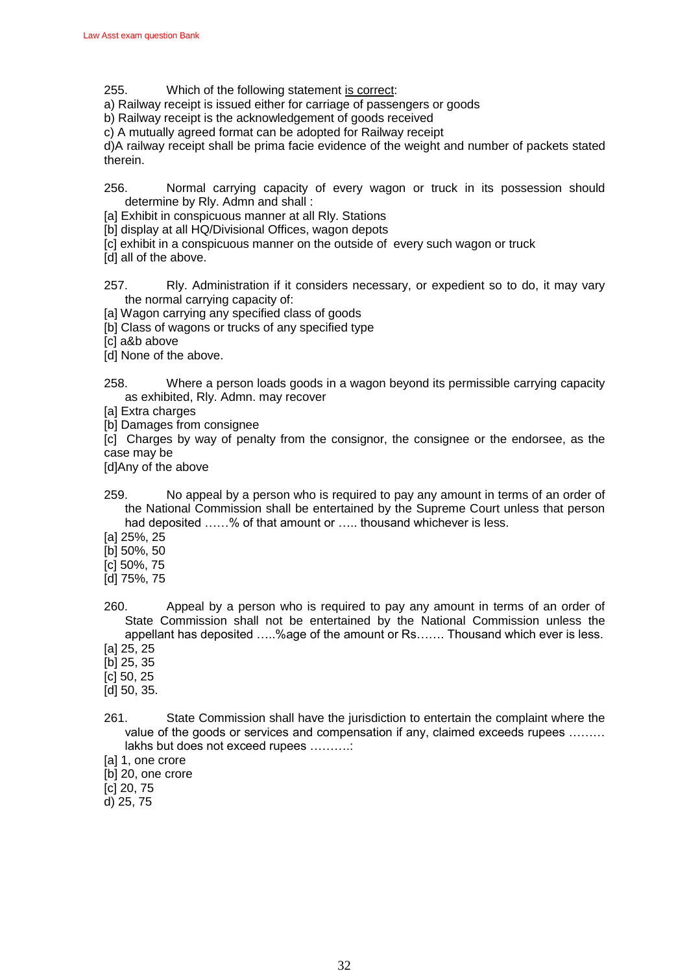- 255. Which of the following statement is correct:
- a) Railway receipt is issued either for carriage of passengers or goods
- b) Railway receipt is the acknowledgement of goods received
- c) A mutually agreed format can be adopted for Railway receipt

d)A railway receipt shall be prima facie evidence of the weight and number of packets stated therein.

- 256. Normal carrying capacity of every wagon or truck in its possession should determine by Rly. Admn and shall :
- [a] Exhibit in conspicuous manner at all Rly. Stations
- [b] display at all HQ/Divisional Offices, wagon depots
- [c] exhibit in a conspicuous manner on the outside of every such wagon or truck
- [d] all of the above.
- 257. Rly. Administration if it considers necessary, or expedient so to do, it may vary the normal carrying capacity of:
- [a] Wagon carrying any specified class of goods
- [b] Class of wagons or trucks of any specified type
- [c] a&b above
- [d] None of the above.
- 258. Where a person loads goods in a wagon beyond its permissible carrying capacity as exhibited, Rly. Admn. may recover
- [a] Extra charges
- [b] Damages from consignee

[c] Charges by way of penalty from the consignor, the consignee or the endorsee, as the case may be

[d]Any of the above

- 259. No appeal by a person who is required to pay any amount in terms of an order of the National Commission shall be entertained by the Supreme Court unless that person had deposited ......% of that amount or ..... thousand whichever is less.
- [a] 25%, 25
- [b] 50%, 50
- [c] 50%, 75
- [d] 75%, 75
- 260. Appeal by a person who is required to pay any amount in terms of an order of State Commission shall not be entertained by the National Commission unless the appellant has deposited …..%age of the amount or Rs……. Thousand which ever is less.
- [a] 25, 25
- [b] 25, 35
- [c] 50, 25
- [d] 50, 35.
- 261. State Commission shall have the jurisdiction to entertain the complaint where the value of the goods or services and compensation if any, claimed exceeds rupees ……… lakhs but does not exceed rupees ……….:
- [a] 1, one crore
- [b] 20, one crore
- [c] 20, 75
- d) 25, 75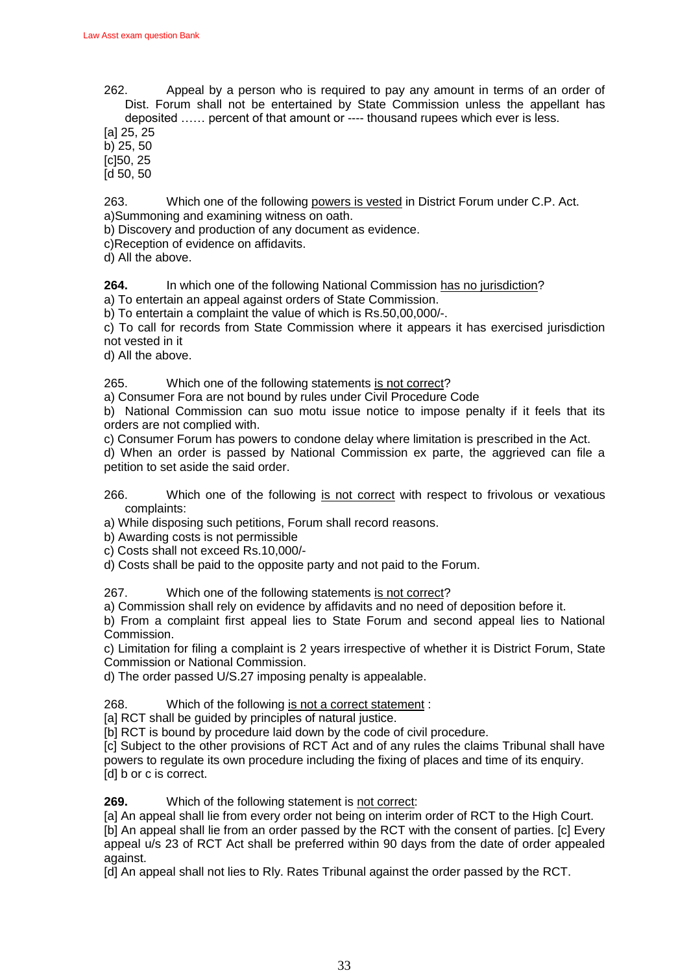262. Appeal by a person who is required to pay any amount in terms of an order of Dist. Forum shall not be entertained by State Commission unless the appellant has deposited …… percent of that amount or ---- thousand rupees which ever is less.

[a] 25, 25

b) 25, 50 [c]50, 25

[d 50, 50

263. Which one of the following powers is vested in District Forum under C.P. Act. a)Summoning and examining witness on oath.

b) Discovery and production of any document as evidence.

c)Reception of evidence on affidavits.

d) All the above.

**264.** In which one of the following National Commission has no jurisdiction?

a) To entertain an appeal against orders of State Commission.

b) To entertain a complaint the value of which is Rs.50,00,000/-.

c) To call for records from State Commission where it appears it has exercised jurisdiction not vested in it

d) All the above.

265. Which one of the following statements is not correct?

a) Consumer Fora are not bound by rules under Civil Procedure Code

b) National Commission can suo motu issue notice to impose penalty if it feels that its orders are not complied with.

c) Consumer Forum has powers to condone delay where limitation is prescribed in the Act.

d) When an order is passed by National Commission ex parte, the aggrieved can file a petition to set aside the said order.

266. Which one of the following is not correct with respect to frivolous or vexatious complaints:

a) While disposing such petitions, Forum shall record reasons.

b) Awarding costs is not permissible

c) Costs shall not exceed Rs.10,000/-

d) Costs shall be paid to the opposite party and not paid to the Forum.

267. Which one of the following statements is not correct?

a) Commission shall rely on evidence by affidavits and no need of deposition before it.

b) From a complaint first appeal lies to State Forum and second appeal lies to National Commission.

c) Limitation for filing a complaint is 2 years irrespective of whether it is District Forum, State Commission or National Commission.

d) The order passed U/S.27 imposing penalty is appealable.

268. Which of the following is not a correct statement :

[a] RCT shall be guided by principles of natural justice.

[b] RCT is bound by procedure laid down by the code of civil procedure.

[c] Subject to the other provisions of RCT Act and of any rules the claims Tribunal shall have powers to regulate its own procedure including the fixing of places and time of its enquiry. [d] b or c is correct.

**269.** Which of the following statement is not correct:

[a] An appeal shall lie from every order not being on interim order of RCT to the High Court. [b] An appeal shall lie from an order passed by the RCT with the consent of parties. [c] Every appeal u/s 23 of RCT Act shall be preferred within 90 days from the date of order appealed against.

[d] An appeal shall not lies to Rly. Rates Tribunal against the order passed by the RCT.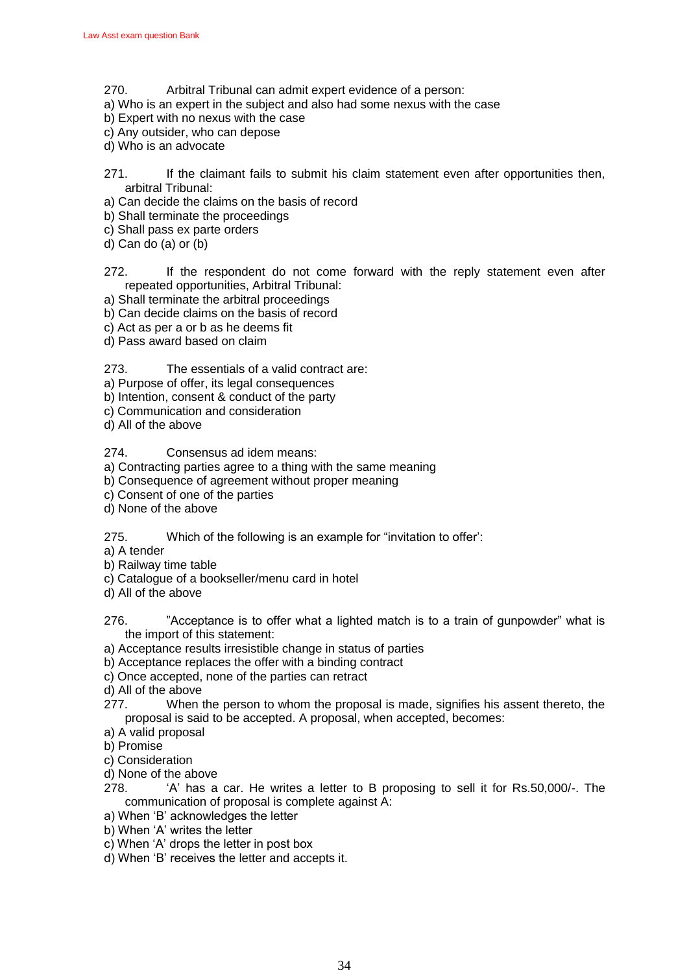- 270. Arbitral Tribunal can admit expert evidence of a person:
- a) Who is an expert in the subject and also had some nexus with the case
- b) Expert with no nexus with the case
- c) Any outsider, who can depose
- d) Who is an advocate
- 271. If the claimant fails to submit his claim statement even after opportunities then, arbitral Tribunal:
- a) Can decide the claims on the basis of record
- b) Shall terminate the proceedings
- c) Shall pass ex parte orders
- d) Can do (a) or (b)
- 272. If the respondent do not come forward with the reply statement even after repeated opportunities, Arbitral Tribunal:
- a) Shall terminate the arbitral proceedings
- b) Can decide claims on the basis of record
- c) Act as per a or b as he deems fit
- d) Pass award based on claim
- 273. The essentials of a valid contract are:
- a) Purpose of offer, its legal consequences
- b) Intention, consent & conduct of the party
- c) Communication and consideration
- d) All of the above

274. Consensus ad idem means:

- a) Contracting parties agree to a thing with the same meaning
- b) Consequence of agreement without proper meaning
- c) Consent of one of the parties
- d) None of the above
- 275. Which of the following is an example for "invitation to offer":
- a) A tender
- b) Railway time table
- c) Catalogue of a bookseller/menu card in hotel
- d) All of the above
- 276. <sup>"</sup>Acceptance is to offer what a lighted match is to a train of gunpowder" what is the import of this statement:
- a) Acceptance results irresistible change in status of parties
- b) Acceptance replaces the offer with a binding contract
- c) Once accepted, none of the parties can retract
- d) All of the above
- 277. When the person to whom the proposal is made, signifies his assent thereto, the proposal is said to be accepted. A proposal, when accepted, becomes:
- a) A valid proposal
- b) Promise
- c) Consideration
- d) None of the above
- 278. •• 'A' has a car. He writes a letter to B proposing to sell it for Rs.50,000/-. The communication of proposal is complete against A:
- a) When 'B' acknowledges the letter
- b) When 'A' writes the letter
- c) When 'A' drops the letter in post box
- d) When 'B' receives the letter and accepts it.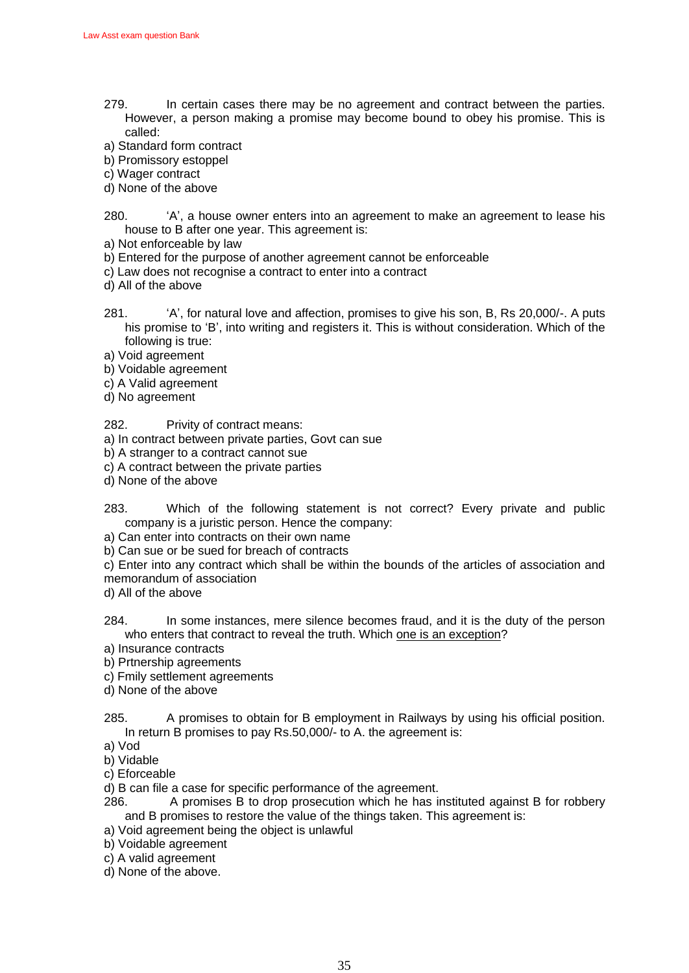- 279. In certain cases there may be no agreement and contract between the parties. However, a person making a promise may become bound to obey his promise. This is called:
- a) Standard form contract
- b) Promissory estoppel
- c) Wager contract
- d) None of the above
- 280. <sup>A</sup>', a house owner enters into an agreement to make an agreement to lease his house to B after one year. This agreement is:
- a) Not enforceable by law
- b) Entered for the purpose of another agreement cannot be enforceable
- c) Law does not recognise a contract to enter into a contract
- d) All of the above
- 281. <sup>A</sup>', for natural love and affection, promises to give his son, B, Rs 20,000/-. A puts his promise to 'B', into writing and registers it. This is without consideration. Which of the following is true:
- a) Void agreement
- b) Voidable agreement
- c) A Valid agreement
- d) No agreement
- 282. Privity of contract means:
- a) In contract between private parties, Govt can sue
- b) A stranger to a contract cannot sue
- c) A contract between the private parties
- d) None of the above
- 283. Which of the following statement is not correct? Every private and public company is a juristic person. Hence the company:
- a) Can enter into contracts on their own name
- b) Can sue or be sued for breach of contracts
- c) Enter into any contract which shall be within the bounds of the articles of association and memorandum of association
- d) All of the above
- 284. In some instances, mere silence becomes fraud, and it is the duty of the person who enters that contract to reveal the truth. Which one is an exception?
- a) Insurance contracts
- b) Prtnership agreements
- c) Fmily settlement agreements
- d) None of the above
- 285. A promises to obtain for B employment in Railways by using his official position. In return B promises to pay Rs.50,000/- to A. the agreement is:
- a) Vod
- b) Vidable
- c) Eforceable
- d) B can file a case for specific performance of the agreement.
- 286. A promises B to drop prosecution which he has instituted against B for robbery and B promises to restore the value of the things taken. This agreement is:
- a) Void agreement being the object is unlawful
- b) Voidable agreement
- c) A valid agreement
- d) None of the above.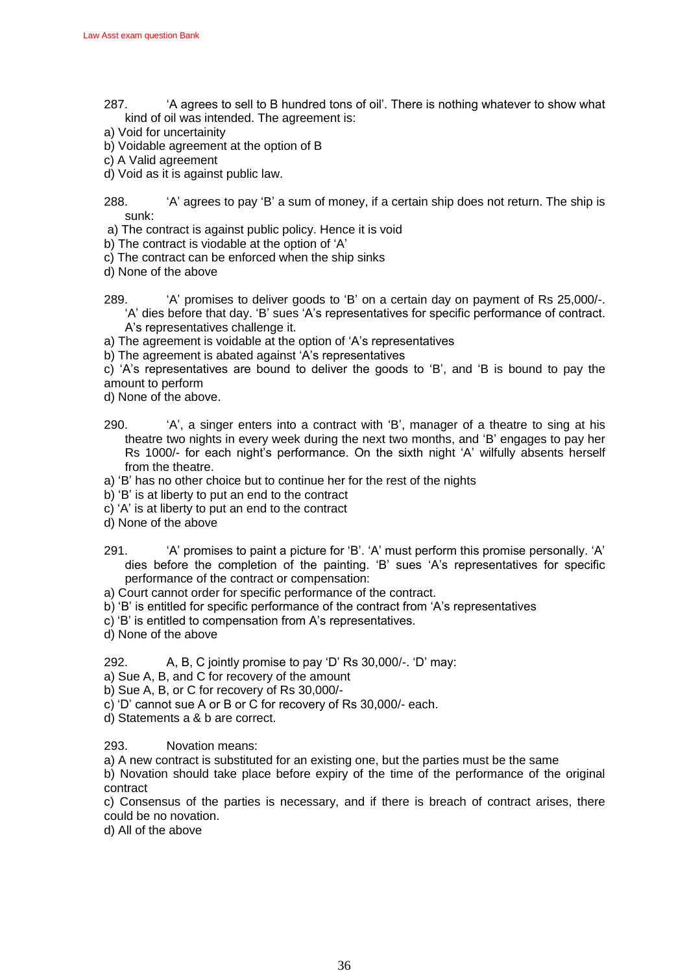- 287. **A agrees to sell to B hundred tons of oil'. There is nothing whatever to show what** kind of oil was intended. The agreement is:
- a) Void for uncertainity
- b) Voidable agreement at the option of B
- c) A Valid agreement
- d) Void as it is against public law.

288. <sup>'A'</sup> agrees to pay 'B' a sum of money, if a certain ship does not return. The ship is sunk:

- a) The contract is against public policy. Hence it is void
- b) The contract is viodable at the option of 'A'
- c) The contract can be enforced when the ship sinks
- d) None of the above
- 289. <sup>(A</sup>' promises to deliver goods to 'B' on a certain day on payment of Rs 25,000/-.  $A$ ' dies before that day. 'B' sues 'A's representatives for specific performance of contract. A's representatives challenge it.
- a) The agreement is voidable at the option of 'A's representatives
- b) The agreement is abated against 'A's representatives

c)  $A$ 's representatives are bound to deliver the goods to  $B$ ', and  $B$  is bound to pay the amount to perform

- d) None of the above.
- 290. <sup>'A'</sup>, a singer enters into a contract with 'B', manager of a theatre to sing at his theatre two nights in every week during the next two months, and ‗B' engages to pay her Rs 1000/- for each night's performance. On the sixth night 'A' wilfully absents herself from the theatre.
- a) 'B' has no other choice but to continue her for the rest of the nights
- b) 'B' is at liberty to put an end to the contract
- c) ‗A' is at liberty to put an end to the contract
- d) None of the above
- 291. ‗A' promises to paint a picture for ‗B'. ‗A' must perform this promise personally. ‗A' dies before the completion of the painting. 'B' sues 'A's representatives for specific performance of the contract or compensation:
- a) Court cannot order for specific performance of the contract.
- b)  $B'$  is entitled for specific performance of the contract from  $A'$ 's representatives
- c) 'B' is entitled to compensation from A's representatives.
- d) None of the above

292. A, B, C jointly promise to pay 'D' Rs 30,000/-. 'D' may:

a) Sue A, B, and C for recovery of the amount

- b) Sue A, B, or C for recovery of Rs 30,000/-
- c) 'D' cannot sue A or B or C for recovery of Rs 30,000/- each.
- d) Statements a & b are correct.

293. Novation means:

a) A new contract is substituted for an existing one, but the parties must be the same

b) Novation should take place before expiry of the time of the performance of the original contract

c) Consensus of the parties is necessary, and if there is breach of contract arises, there could be no novation.

d) All of the above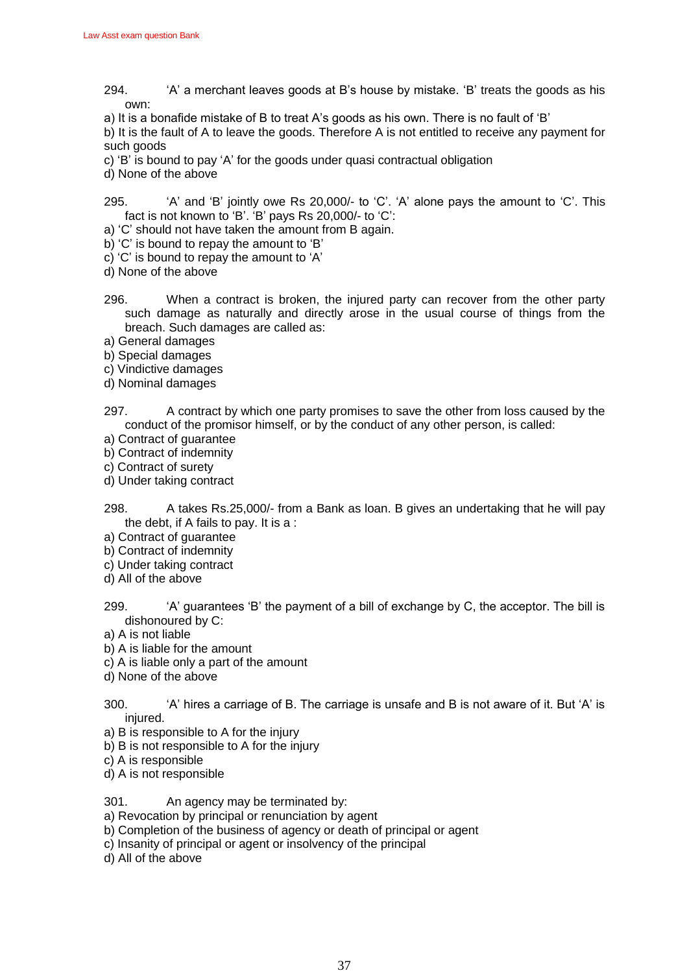- $294.$  <sup>'A'</sup> a merchant leaves goods at B's house by mistake. 'B' treats the goods as his own:
- a) It is a bonafide mistake of B to treat A's goods as his own. There is no fault of 'B'

b) It is the fault of A to leave the goods. Therefore A is not entitled to receive any payment for such goods

- c) 'B' is bound to pay 'A' for the goods under quasi contractual obligation
- d) None of the above
- 295.  $'$ A' and 'B' jointly owe Rs 20,000/- to 'C'. 'A' alone pays the amount to 'C'. This fact is not known to 'B'. 'B' pays Rs 20,000/- to 'C':
- a) 'C' should not have taken the amount from B again.
- b) 'C' is bound to repay the amount to 'B'
- c) 'C' is bound to repay the amount to 'A'
- d) None of the above
- 296. When a contract is broken, the injured party can recover from the other party such damage as naturally and directly arose in the usual course of things from the breach. Such damages are called as:
- a) General damages
- b) Special damages
- c) Vindictive damages
- d) Nominal damages
- 297. A contract by which one party promises to save the other from loss caused by the conduct of the promisor himself, or by the conduct of any other person, is called:
- a) Contract of guarantee
- b) Contract of indemnity
- c) Contract of surety
- d) Under taking contract
- 298. A takes Rs.25,000/- from a Bank as loan. B gives an undertaking that he will pay the debt, if A fails to pay. It is a :
- a) Contract of guarantee
- b) Contract of indemnity
- c) Under taking contract
- d) All of the above
- 299. •• 'A' guarantees 'B' the payment of a bill of exchange by C, the acceptor. The bill is dishonoured by C:
- a) A is not liable
- b) A is liable for the amount
- c) A is liable only a part of the amount
- d) None of the above
- 300. <sup> $A'$ </sup> hires a carriage of B. The carriage is unsafe and B is not aware of it. But 'A' is injured.
- a) B is responsible to A for the injury
- b) B is not responsible to A for the injury
- c) A is responsible
- d) A is not responsible
- 301. An agency may be terminated by:
- a) Revocation by principal or renunciation by agent
- b) Completion of the business of agency or death of principal or agent
- c) Insanity of principal or agent or insolvency of the principal
- d) All of the above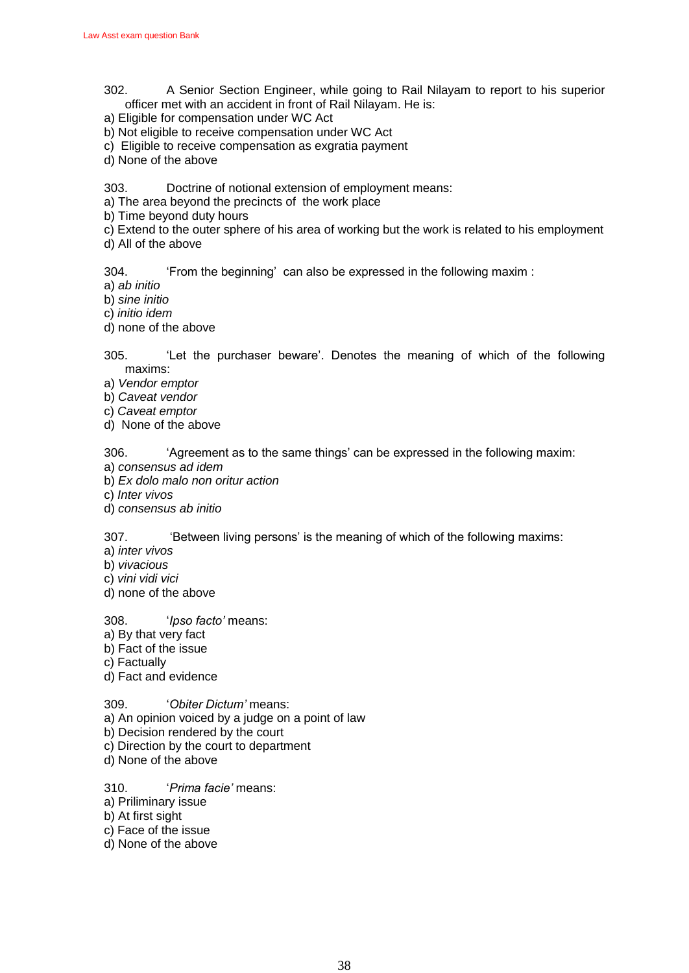- 302. A Senior Section Engineer, while going to Rail Nilayam to report to his superior officer met with an accident in front of Rail Nilayam. He is:
- a) Eligible for compensation under WC Act
- b) Not eligible to receive compensation under WC Act
- c) Eligible to receive compensation as exgratia payment
- d) None of the above

303. Doctrine of notional extension of employment means:

- a) The area beyond the precincts of the work place
- b) Time beyond duty hours
- c) Extend to the outer sphere of his area of working but the work is related to his employment d) All of the above

304. ‗From the beginning' can also be expressed in the following maxim :

- a) *ab initio*
- b) *sine initio*
- c) *initio idem*
- d) none of the above

305. ‗Let the purchaser beware'. Denotes the meaning of which of the following maxims:

- a) *Vendor emptor*
- b) *Caveat vendor*
- c) *Caveat emptor*
- d) None of the above

306. ‗Agreement as to the same things' can be expressed in the following maxim:

- a) *consensus ad idem*
- b) *Ex dolo malo non oritur action*
- c) *Inter vivos*
- d) *consensus ab initio*

307. **Examps 19 Exercise 1307** S207. **Examps 1307. Examps 1307. The status is set of the following maxims:** 

a) *inter vivos*

- b) *vivacious*
- c) *vini vidi vici*
- d) none of the above

### 308. ‗*Ipso facto'* means:

- a) By that very fact
- b) Fact of the issue
- c) Factually
- d) Fact and evidence

309. ‗*Obiter Dictum'* means:

- a) An opinion voiced by a judge on a point of law
- b) Decision rendered by the court
- c) Direction by the court to department
- d) None of the above

### 310. ‗*Prima facie'* means:

- a) Priliminary issue
- b) At first sight
- c) Face of the issue
- d) None of the above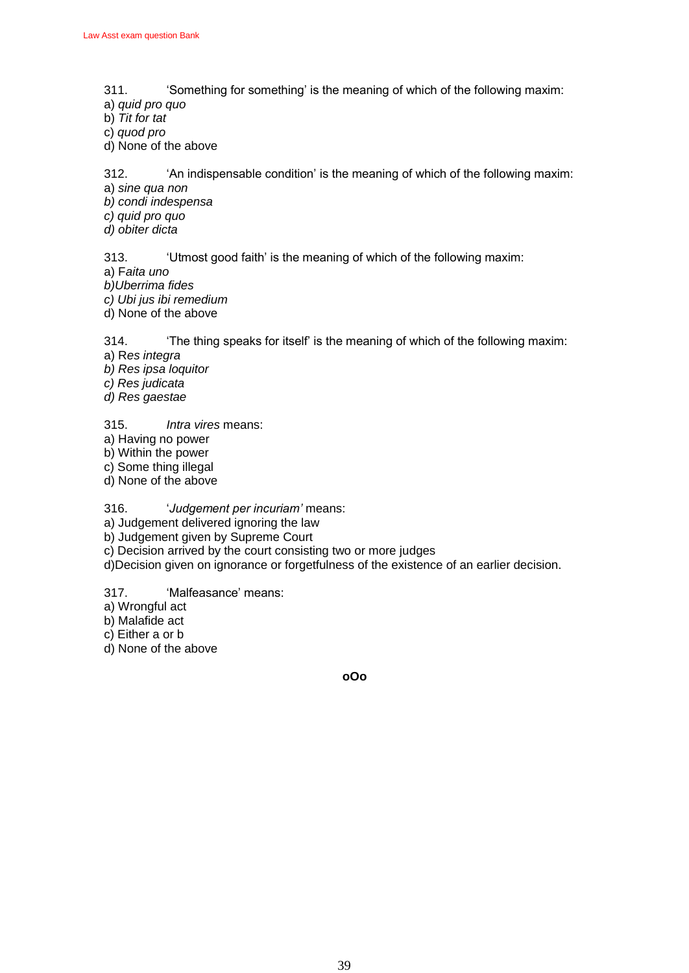- 311. ‗Something for something' is the meaning of which of the following maxim:
- a) *quid pro quo*
- b) *Tit for tat*
- c) *quod pro*
- d) None of the above

312. <sup>An</sup> indispensable condition' is the meaning of which of the following maxim:

a) *sine qua non* 

- *b) condi indespensa*
- *c) quid pro quo*
- *d) obiter dicta*

313. ‗Utmost good faith' is the meaning of which of the following maxim:

a) F*aita uno*

*b)Uberrima fides* 

*c) Ubi jus ibi remedium*

d) None of the above

314. ‗The thing speaks for itself' is the meaning of which of the following maxim:

a) R*es integra* 

*b) Res ipsa loquitor* 

*c) Res judicata* 

*d) Res gaestae*

315. *Intra vires* means:

a) Having no power

b) Within the power

c) Some thing illegal

d) None of the above

316. ‗*Judgement per incuriam'* means:

a) Judgement delivered ignoring the law

b) Judgement given by Supreme Court

c) Decision arrived by the court consisting two or more judges

d)Decision given on ignorance or forgetfulness of the existence of an earlier decision.

317. **Malfeasance' means:** 

a) Wrongful act

b) Malafide act

c) Either a or b

d) None of the above

**oOo**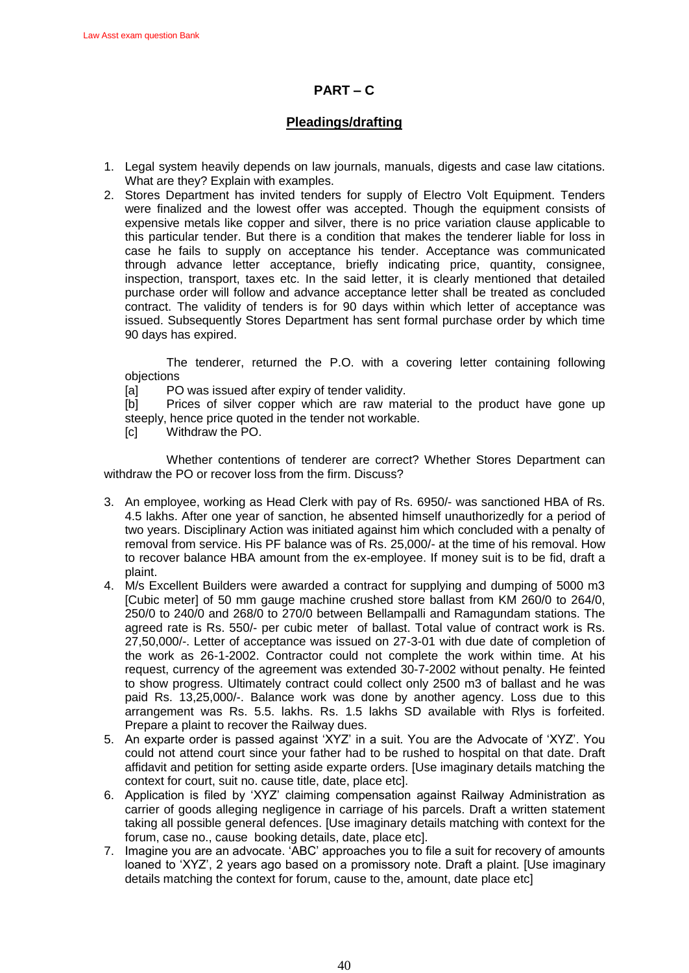## **PART – C**

## **Pleadings/drafting**

- 1. Legal system heavily depends on law journals, manuals, digests and case law citations. What are they? Explain with examples.
- 2. Stores Department has invited tenders for supply of Electro Volt Equipment. Tenders were finalized and the lowest offer was accepted. Though the equipment consists of expensive metals like copper and silver, there is no price variation clause applicable to this particular tender. But there is a condition that makes the tenderer liable for loss in case he fails to supply on acceptance his tender. Acceptance was communicated through advance letter acceptance, briefly indicating price, quantity, consignee, inspection, transport, taxes etc. In the said letter, it is clearly mentioned that detailed purchase order will follow and advance acceptance letter shall be treated as concluded contract. The validity of tenders is for 90 days within which letter of acceptance was issued. Subsequently Stores Department has sent formal purchase order by which time 90 days has expired.

The tenderer, returned the P.O. with a covering letter containing following objections

[a] PO was issued after expiry of tender validity.

[b] Prices of silver copper which are raw material to the product have gone up steeply, hence price quoted in the tender not workable.

[c] Withdraw the PO.

Whether contentions of tenderer are correct? Whether Stores Department can withdraw the PO or recover loss from the firm. Discuss?

- 3. An employee, working as Head Clerk with pay of Rs. 6950/- was sanctioned HBA of Rs. 4.5 lakhs. After one year of sanction, he absented himself unauthorizedly for a period of two years. Disciplinary Action was initiated against him which concluded with a penalty of removal from service. His PF balance was of Rs. 25,000/- at the time of his removal. How to recover balance HBA amount from the ex-employee. If money suit is to be fid, draft a plaint.
- 4. M/s Excellent Builders were awarded a contract for supplying and dumping of 5000 m3 [Cubic meter] of 50 mm gauge machine crushed store ballast from KM 260/0 to 264/0, 250/0 to 240/0 and 268/0 to 270/0 between Bellampalli and Ramagundam stations. The agreed rate is Rs. 550/- per cubic meter of ballast. Total value of contract work is Rs. 27,50,000/-. Letter of acceptance was issued on 27-3-01 with due date of completion of the work as 26-1-2002. Contractor could not complete the work within time. At his request, currency of the agreement was extended 30-7-2002 without penalty. He feinted to show progress. Ultimately contract could collect only 2500 m3 of ballast and he was paid Rs. 13,25,000/-. Balance work was done by another agency. Loss due to this arrangement was Rs. 5.5. lakhs. Rs. 1.5 lakhs SD available with Rlys is forfeited. Prepare a plaint to recover the Railway dues.
- 5. An exparte order is passed against 'XYZ' in a suit. You are the Advocate of 'XYZ'. You could not attend court since your father had to be rushed to hospital on that date. Draft affidavit and petition for setting aside exparte orders. [Use imaginary details matching the context for court, suit no. cause title, date, place etc].
- 6. Application is filed by 'XYZ' claiming compensation against Railway Administration as carrier of goods alleging negligence in carriage of his parcels. Draft a written statement taking all possible general defences. [Use imaginary details matching with context for the forum, case no., cause booking details, date, place etc].
- 7. Imagine you are an advocate. 'ABC' approaches you to file a suit for recovery of amounts loaned to 'XYZ', 2 years ago based on a promissory note. Draft a plaint. [Use imaginary details matching the context for forum, cause to the, amount, date place etc]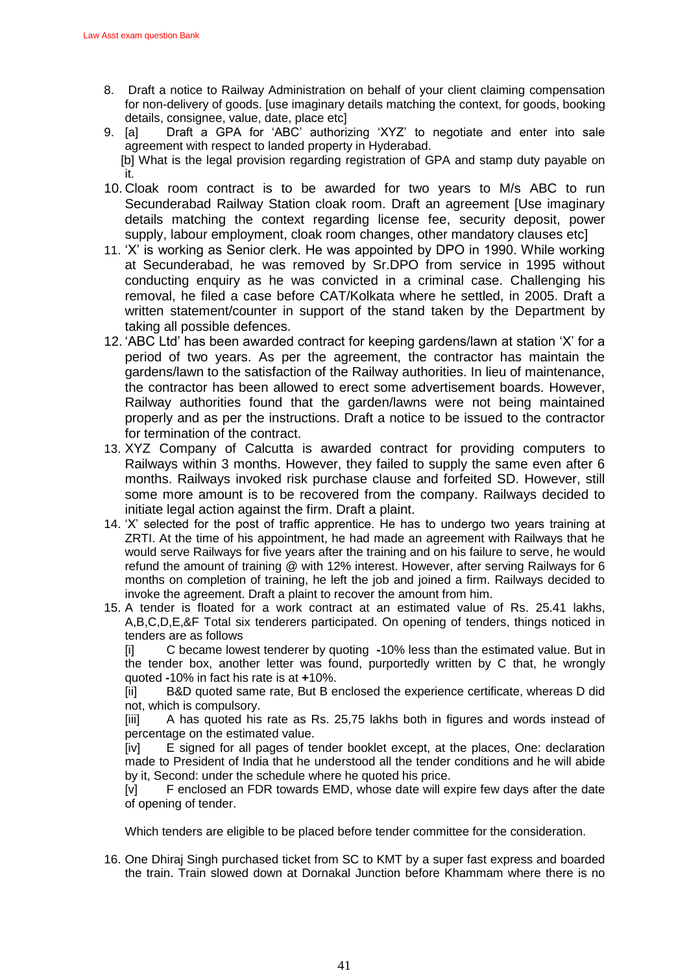- 8. Draft a notice to Railway Administration on behalf of your client claiming compensation for non-delivery of goods. [use imaginary details matching the context, for goods, booking details, consignee, value, date, place etc]<br>9. Ial Draft a GPA for 'ABC' authoriz
- Draft a GPA for 'ABC' authorizing 'XYZ' to negotiate and enter into sale agreement with respect to landed property in Hyderabad. [b] What is the legal provision regarding registration of GPA and stamp duty payable on it.
- 10. Cloak room contract is to be awarded for two years to M/s ABC to run Secunderabad Railway Station cloak room. Draft an agreement [Use imaginary details matching the context regarding license fee, security deposit, power supply, labour employment, cloak room changes, other mandatory clauses etc]
- 11. ‗X' is working as Senior clerk. He was appointed by DPO in 1990. While working at Secunderabad, he was removed by Sr.DPO from service in 1995 without conducting enquiry as he was convicted in a criminal case. Challenging his removal, he filed a case before CAT/Kolkata where he settled, in 2005. Draft a written statement/counter in support of the stand taken by the Department by taking all possible defences.
- 12. ABC Ltd' has been awarded contract for keeping gardens/lawn at station 'X' for a period of two years. As per the agreement, the contractor has maintain the gardens/lawn to the satisfaction of the Railway authorities. In lieu of maintenance, the contractor has been allowed to erect some advertisement boards. However, Railway authorities found that the garden/lawns were not being maintained properly and as per the instructions. Draft a notice to be issued to the contractor for termination of the contract.
- 13. XYZ Company of Calcutta is awarded contract for providing computers to Railways within 3 months. However, they failed to supply the same even after 6 months. Railways invoked risk purchase clause and forfeited SD. However, still some more amount is to be recovered from the company. Railways decided to initiate legal action against the firm. Draft a plaint.
- 14. 'X' selected for the post of traffic apprentice. He has to undergo two years training at ZRTI. At the time of his appointment, he had made an agreement with Railways that he would serve Railways for five years after the training and on his failure to serve, he would refund the amount of training @ with 12% interest. However, after serving Railways for 6 months on completion of training, he left the job and joined a firm. Railways decided to invoke the agreement. Draft a plaint to recover the amount from him.
- 15. A tender is floated for a work contract at an estimated value of Rs. 25.41 lakhs, A,B,C,D,E,&F Total six tenderers participated. On opening of tenders, things noticed in tenders are as follows

[i] C became lowest tenderer by quoting **-**10% less than the estimated value. But in the tender box, another letter was found, purportedly written by C that, he wrongly quoted **-**10% in fact his rate is at **+**10%.

 [ii] B&D quoted same rate, But B enclosed the experience certificate, whereas D did not, which is compulsory.

[iii] A has quoted his rate as Rs. 25,75 lakhs both in figures and words instead of percentage on the estimated value.

[iv] E signed for all pages of tender booklet except, at the places, One: declaration made to President of India that he understood all the tender conditions and he will abide by it, Second: under the schedule where he quoted his price.

[v] F enclosed an FDR towards EMD, whose date will expire few days after the date of opening of tender.

Which tenders are eligible to be placed before tender committee for the consideration.

16. One Dhiraj Singh purchased ticket from SC to KMT by a super fast express and boarded the train. Train slowed down at Dornakal Junction before Khammam where there is no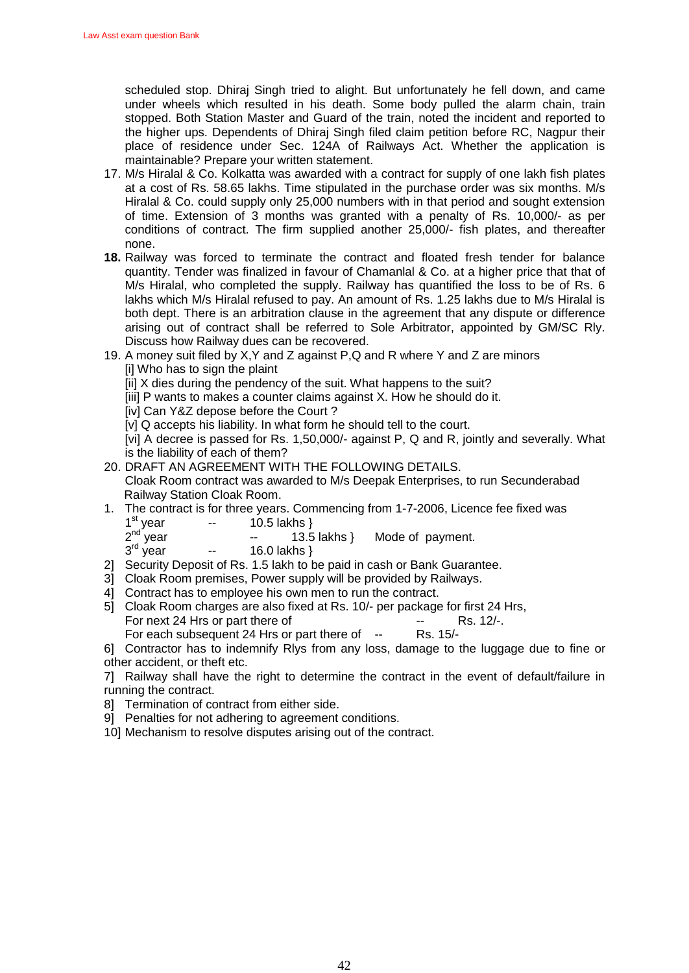scheduled stop. Dhiraj Singh tried to alight. But unfortunately he fell down, and came under wheels which resulted in his death. Some body pulled the alarm chain, train stopped. Both Station Master and Guard of the train, noted the incident and reported to the higher ups. Dependents of Dhiraj Singh filed claim petition before RC, Nagpur their place of residence under Sec. 124A of Railways Act. Whether the application is maintainable? Prepare your written statement.

- 17. M/s Hiralal & Co. Kolkatta was awarded with a contract for supply of one lakh fish plates at a cost of Rs. 58.65 lakhs. Time stipulated in the purchase order was six months. M/s Hiralal & Co. could supply only 25,000 numbers with in that period and sought extension of time. Extension of 3 months was granted with a penalty of Rs. 10,000/- as per conditions of contract. The firm supplied another 25,000/- fish plates, and thereafter none.
- **18.** Railway was forced to terminate the contract and floated fresh tender for balance quantity. Tender was finalized in favour of Chamanlal & Co. at a higher price that that of M/s Hiralal, who completed the supply. Railway has quantified the loss to be of Rs. 6 lakhs which M/s Hiralal refused to pay. An amount of Rs. 1.25 lakhs due to M/s Hiralal is both dept. There is an arbitration clause in the agreement that any dispute or difference arising out of contract shall be referred to Sole Arbitrator, appointed by GM/SC Rly. Discuss how Railway dues can be recovered.
- 19. A money suit filed by X,Y and Z against P,Q and R where Y and Z are minors [i] Who has to sign the plaint
	- [ii] X dies during the pendency of the suit. What happens to the suit?
	- [iii] P wants to makes a counter claims against X. How he should do it.
	- [iv] Can Y&Z depose before the Court?

[v] Q accepts his liability. In what form he should tell to the court.

[vi] A decree is passed for Rs. 1,50,000/- against P, Q and R, jointly and severally. What is the liability of each of them?

20. DRAFT AN AGREEMENT WITH THE FOLLOWING DETAILS.

Cloak Room contract was awarded to M/s Deepak Enterprises, to run Secunderabad Railway Station Cloak Room.

- 1. The contract is for three years. Commencing from 1-7-2006, Licence fee fixed was 1<sup>st</sup> vear  $-$  10.5 lakhs }
	- -- 13.5 lakhs } Mode of payment.
	- 3 16.0 lakhs  $\}$

2

- 2] Security Deposit of Rs. 1.5 lakh to be paid in cash or Bank Guarantee.
- 3] Cloak Room premises, Power supply will be provided by Railways.
- 4] Contract has to employee his own men to run the contract.
- 5] Cloak Room charges are also fixed at Rs. 10/- per package for first 24 Hrs, For next 24 Hrs or part there of The Contract Telecomputer 24 Hrs or part there of

For each subsequent 24 Hrs or part there of -- Rs. 15/-

6] Contractor has to indemnify Rlys from any loss, damage to the luggage due to fine or other accident, or theft etc.

7] Railway shall have the right to determine the contract in the event of default/failure in running the contract.

- 8] Termination of contract from either side.
- 9] Penalties for not adhering to agreement conditions.
- 10] Mechanism to resolve disputes arising out of the contract.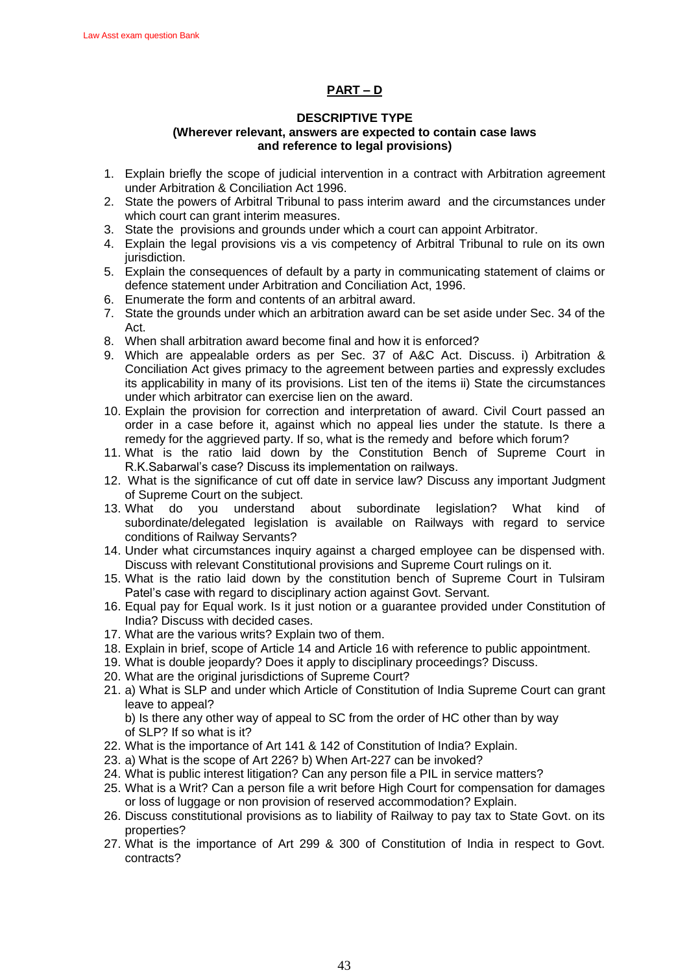## **PART – D**

### **DESCRIPTIVE TYPE (Wherever relevant, answers are expected to contain case laws and reference to legal provisions)**

- 1. Explain briefly the scope of judicial intervention in a contract with Arbitration agreement under Arbitration & Conciliation Act 1996.
- 2. State the powers of Arbitral Tribunal to pass interim award and the circumstances under which court can grant interim measures.
- 3. State the provisions and grounds under which a court can appoint Arbitrator.
- 4. Explain the legal provisions vis a vis competency of Arbitral Tribunal to rule on its own jurisdiction.
- 5. Explain the consequences of default by a party in communicating statement of claims or defence statement under Arbitration and Conciliation Act, 1996.
- 6. Enumerate the form and contents of an arbitral award.
- 7. State the grounds under which an arbitration award can be set aside under Sec. 34 of the Act.
- 8. When shall arbitration award become final and how it is enforced?
- 9. Which are appealable orders as per Sec. 37 of A&C Act. Discuss. i) Arbitration & Conciliation Act gives primacy to the agreement between parties and expressly excludes its applicability in many of its provisions. List ten of the items ii) State the circumstances under which arbitrator can exercise lien on the award.
- 10. Explain the provision for correction and interpretation of award. Civil Court passed an order in a case before it, against which no appeal lies under the statute. Is there a remedy for the aggrieved party. If so, what is the remedy and before which forum?
- 11. What is the ratio laid down by the Constitution Bench of Supreme Court in R.K.Sabarwal's case? Discuss its implementation on railways.
- 12. What is the significance of cut off date in service law? Discuss any important Judgment of Supreme Court on the subject.
- 13. What do you understand about subordinate legislation? What kind of subordinate/delegated legislation is available on Railways with regard to service conditions of Railway Servants?
- 14. Under what circumstances inquiry against a charged employee can be dispensed with. Discuss with relevant Constitutional provisions and Supreme Court rulings on it.
- 15. What is the ratio laid down by the constitution bench of Supreme Court in Tulsiram Patel's case with regard to disciplinary action against Govt. Servant.
- 16. Equal pay for Equal work. Is it just notion or a guarantee provided under Constitution of India? Discuss with decided cases.
- 17. What are the various writs? Explain two of them.
- 18. Explain in brief, scope of Article 14 and Article 16 with reference to public appointment.
- 19. What is double jeopardy? Does it apply to disciplinary proceedings? Discuss.
- 20. What are the original jurisdictions of Supreme Court?
- 21. a) What is SLP and under which Article of Constitution of India Supreme Court can grant leave to appeal?

b) Is there any other way of appeal to SC from the order of HC other than by way of SLP? If so what is it?

- 22. What is the importance of Art 141 & 142 of Constitution of India? Explain.
- 23. a) What is the scope of Art 226? b) When Art-227 can be invoked?
- 24. What is public interest litigation? Can any person file a PIL in service matters?
- 25. What is a Writ? Can a person file a writ before High Court for compensation for damages or loss of luggage or non provision of reserved accommodation? Explain.
- 26. Discuss constitutional provisions as to liability of Railway to pay tax to State Govt. on its properties?
- 27. What is the importance of Art 299 & 300 of Constitution of India in respect to Govt. contracts?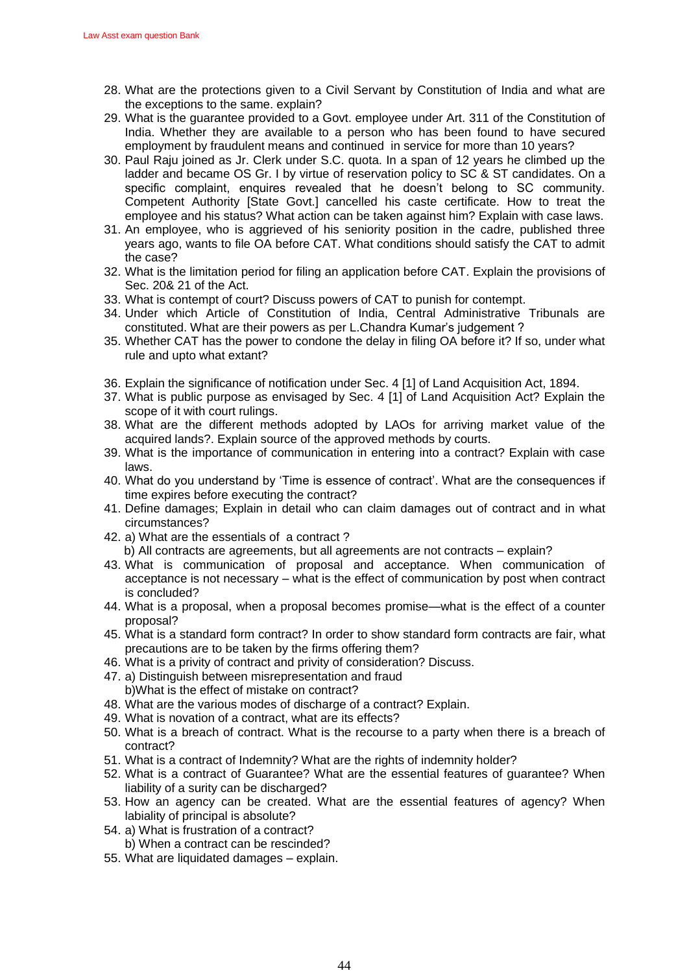- 28. What are the protections given to a Civil Servant by Constitution of India and what are the exceptions to the same. explain?
- 29. What is the guarantee provided to a Govt. employee under Art. 311 of the Constitution of India. Whether they are available to a person who has been found to have secured employment by fraudulent means and continued in service for more than 10 years?
- 30. Paul Raju joined as Jr. Clerk under S.C. quota. In a span of 12 years he climbed up the ladder and became OS Gr. I by virtue of reservation policy to SC & ST candidates. On a specific complaint, enquires revealed that he doesn't belong to SC community. Competent Authority [State Govt.] cancelled his caste certificate. How to treat the employee and his status? What action can be taken against him? Explain with case laws.
- 31. An employee, who is aggrieved of his seniority position in the cadre, published three years ago, wants to file OA before CAT. What conditions should satisfy the CAT to admit the case?
- 32. What is the limitation period for filing an application before CAT. Explain the provisions of Sec. 20& 21 of the Act.
- 33. What is contempt of court? Discuss powers of CAT to punish for contempt.
- 34. Under which Article of Constitution of India, Central Administrative Tribunals are constituted. What are their powers as per L.Chandra Kumar's judgement ?
- 35. Whether CAT has the power to condone the delay in filing OA before it? If so, under what rule and upto what extant?
- 36. Explain the significance of notification under Sec. 4 [1] of Land Acquisition Act, 1894.
- 37. What is public purpose as envisaged by Sec. 4 [1] of Land Acquisition Act? Explain the scope of it with court rulings.
- 38. What are the different methods adopted by LAOs for arriving market value of the acquired lands?. Explain source of the approved methods by courts.
- 39. What is the importance of communication in entering into a contract? Explain with case laws.
- 40. What do you understand by 'Time is essence of contract'. What are the consequences if time expires before executing the contract?
- 41. Define damages; Explain in detail who can claim damages out of contract and in what circumstances?
- 42. a) What are the essentials of a contract ?
	- b) All contracts are agreements, but all agreements are not contracts explain?
- 43. What is communication of proposal and acceptance. When communication of acceptance is not necessary – what is the effect of communication by post when contract is concluded?
- 44. What is a proposal, when a proposal becomes promise—what is the effect of a counter proposal?
- 45. What is a standard form contract? In order to show standard form contracts are fair, what precautions are to be taken by the firms offering them?
- 46. What is a privity of contract and privity of consideration? Discuss.
- 47. a) Distinguish between misrepresentation and fraud b)What is the effect of mistake on contract?
- 48. What are the various modes of discharge of a contract? Explain.
- 49. What is novation of a contract, what are its effects?
- 50. What is a breach of contract. What is the recourse to a party when there is a breach of contract?
- 51. What is a contract of Indemnity? What are the rights of indemnity holder?
- 52. What is a contract of Guarantee? What are the essential features of guarantee? When liability of a surity can be discharged?
- 53. How an agency can be created. What are the essential features of agency? When labiality of principal is absolute?
- 54. a) What is frustration of a contract? b) When a contract can be rescinded?
- 55. What are liquidated damages explain.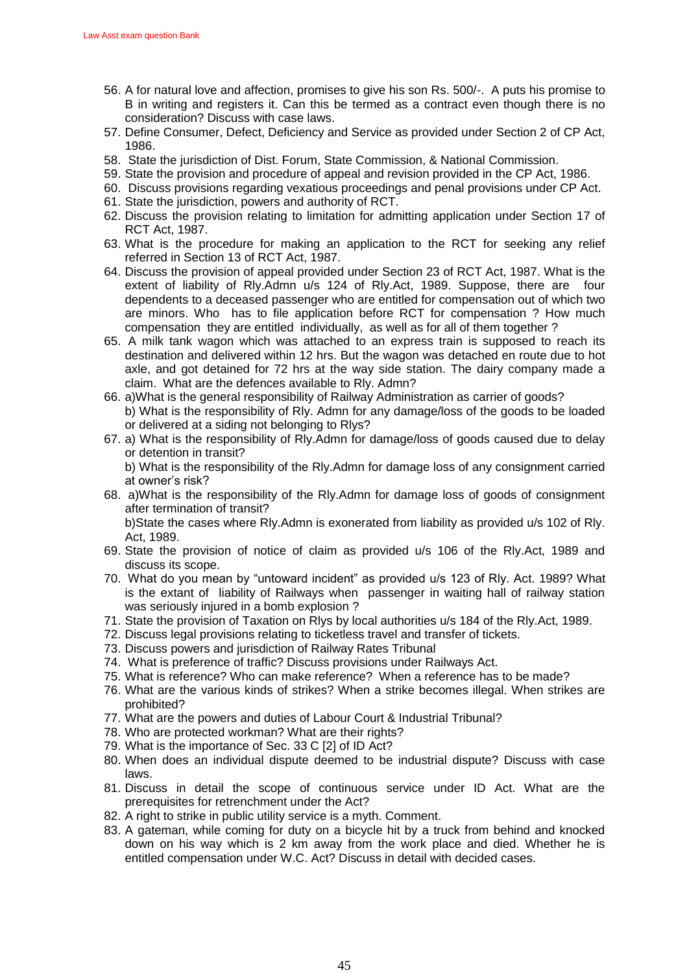- 56. A for natural love and affection, promises to give his son Rs. 500/-. A puts his promise to B in writing and registers it. Can this be termed as a contract even though there is no consideration? Discuss with case laws.
- 57. Define Consumer, Defect, Deficiency and Service as provided under Section 2 of CP Act, 1986.
- 58. State the jurisdiction of Dist. Forum, State Commission, & National Commission.
- 59. State the provision and procedure of appeal and revision provided in the CP Act, 1986.
- 60. Discuss provisions regarding vexatious proceedings and penal provisions under CP Act.
- 61. State the jurisdiction, powers and authority of RCT.
- 62. Discuss the provision relating to limitation for admitting application under Section 17 of RCT Act, 1987.
- 63. What is the procedure for making an application to the RCT for seeking any relief referred in Section 13 of RCT Act, 1987.
- 64. Discuss the provision of appeal provided under Section 23 of RCT Act, 1987. What is the extent of liability of Rly.Admn u/s 124 of Rly.Act, 1989. Suppose, there are four dependents to a deceased passenger who are entitled for compensation out of which two are minors. Who has to file application before RCT for compensation ? How much compensation they are entitled individually, as well as for all of them together ?
- 65. A milk tank wagon which was attached to an express train is supposed to reach its destination and delivered within 12 hrs. But the wagon was detached en route due to hot axle, and got detained for 72 hrs at the way side station. The dairy company made a claim. What are the defences available to Rly. Admn?
- 66. a)What is the general responsibility of Railway Administration as carrier of goods? b) What is the responsibility of Rly. Admn for any damage/loss of the goods to be loaded or delivered at a siding not belonging to Rlys?
- 67. a) What is the responsibility of Rly.Admn for damage/loss of goods caused due to delay or detention in transit?

 b) What is the responsibility of the Rly.Admn for damage loss of any consignment carried at owner's risk?

68. a)What is the responsibility of the Rly.Admn for damage loss of goods of consignment after termination of transit?

 b)State the cases where Rly.Admn is exonerated from liability as provided u/s 102 of Rly. Act, 1989.

- 69. State the provision of notice of claim as provided u/s 106 of the Rly.Act, 1989 and discuss its scope.
- 70. What do you mean by "untoward incident" as provided u/s 123 of Rly. Act. 1989? What is the extant of liability of Railways when passenger in waiting hall of railway station was seriously injured in a bomb explosion ?
- 71. State the provision of Taxation on Rlys by local authorities u/s 184 of the Rly.Act, 1989.
- 72. Discuss legal provisions relating to ticketless travel and transfer of tickets.
- 73. Discuss powers and jurisdiction of Railway Rates Tribunal
- 74. What is preference of traffic? Discuss provisions under Railways Act.
- 75. What is reference? Who can make reference? When a reference has to be made?
- 76. What are the various kinds of strikes? When a strike becomes illegal. When strikes are prohibited?
- 77. What are the powers and duties of Labour Court & Industrial Tribunal?
- 78. Who are protected workman? What are their rights?
- 79. What is the importance of Sec. 33 C [2] of ID Act?
- 80. When does an individual dispute deemed to be industrial dispute? Discuss with case laws.
- 81. Discuss in detail the scope of continuous service under ID Act. What are the prerequisites for retrenchment under the Act?
- 82. A right to strike in public utility service is a myth. Comment.
- 83. A gateman, while coming for duty on a bicycle hit by a truck from behind and knocked down on his way which is 2 km away from the work place and died. Whether he is entitled compensation under W.C. Act? Discuss in detail with decided cases.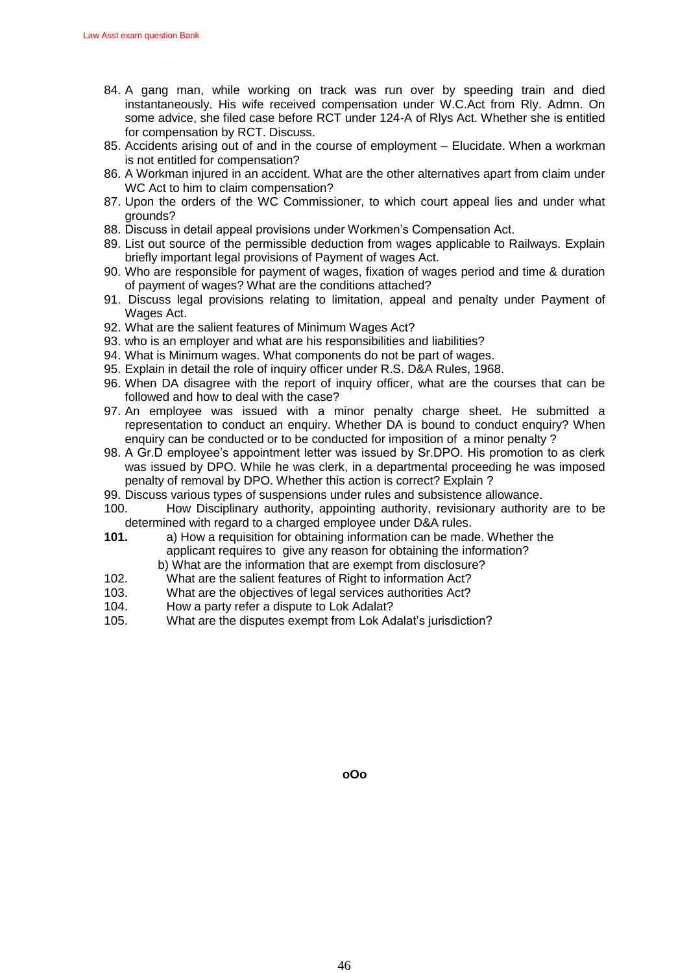- 84. A gang man, while working on track was run over by speeding train and died instantaneously. His wife received compensation under W.C.Act from Rly. Admn. On some advice, she filed case before RCT under 124-A of Rlys Act. Whether she is entitled for compensation by RCT. Discuss.
- 85. Accidents arising out of and in the course of employment Elucidate. When a workman is not entitled for compensation?
- 86. A Workman injured in an accident. What are the other alternatives apart from claim under WC Act to him to claim compensation?
- 87. Upon the orders of the WC Commissioner, to which court appeal lies and under what grounds?
- 88. Discuss in detail appeal provisions under Workmen's Compensation Act.
- 89. List out source of the permissible deduction from wages applicable to Railways. Explain briefly important legal provisions of Payment of wages Act.
- 90. Who are responsible for payment of wages, fixation of wages period and time & duration of payment of wages? What are the conditions attached?
- 91. Discuss legal provisions relating to limitation, appeal and penalty under Payment of Wages Act.
- 92. What are the salient features of Minimum Wages Act?
- 93. who is an employer and what are his responsibilities and liabilities?
- 94. What is Minimum wages. What components do not be part of wages.
- 95. Explain in detail the role of inquiry officer under R.S. D&A Rules, 1968.
- 96. When DA disagree with the report of inquiry officer, what are the courses that can be followed and how to deal with the case?
- 97. An employee was issued with a minor penalty charge sheet. He submitted a representation to conduct an enquiry. Whether DA is bound to conduct enquiry? When enquiry can be conducted or to be conducted for imposition of a minor penalty ?
- 98. A Gr.D employee's appointment letter was issued by Sr.DPO. His promotion to as clerk was issued by DPO. While he was clerk, in a departmental proceeding he was imposed penalty of removal by DPO. Whether this action is correct? Explain ?
- 99. Discuss various types of suspensions under rules and subsistence allowance.
- 100. How Disciplinary authority, appointing authority, revisionary authority are to be determined with regard to a charged employee under D&A rules.
- **101.** a) How a requisition for obtaining information can be made. Whether the applicant requires to give any reason for obtaining the information? b) What are the information that are exempt from disclosure?
- 102. What are the salient features of Right to information Act?
- 103. What are the objectives of legal services authorities Act?
- 104. How a party refer a dispute to Lok Adalat?
- 105. What are the disputes exempt from Lok Adalat's jurisdiction?

**oOo**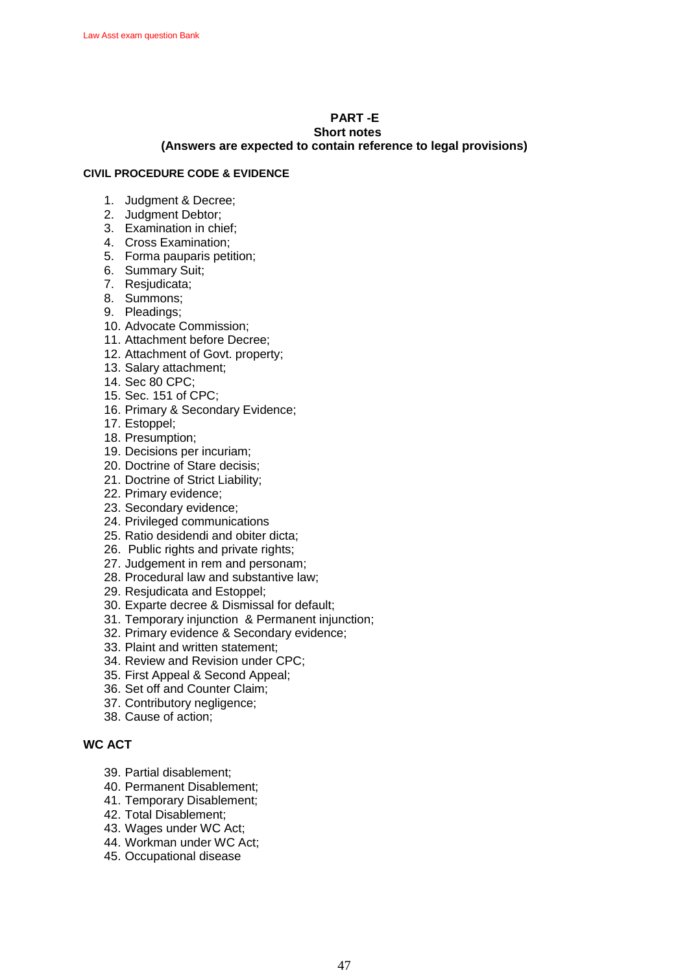# **PART -E**

## **Short notes**

### **(Answers are expected to contain reference to legal provisions)**

### **CIVIL PROCEDURE CODE & EVIDENCE**

- 1. Judgment & Decree;
- 2. Judgment Debtor;
- 3. Examination in chief;
- 4. Cross Examination;
- 5. Forma pauparis petition;
- 6. Summary Suit;
- 7. Resjudicata;
- 8. Summons;
- 9. Pleadings;
- 10. Advocate Commission;
- 11. Attachment before Decree;
- 12. Attachment of Govt. property;
- 13. Salary attachment;
- 14. Sec 80 CPC;
- 15. Sec. 151 of CPC;
- 16. Primary & Secondary Evidence;
- 17. Estoppel;
- 18. Presumption;
- 19. Decisions per incuriam;
- 20. Doctrine of Stare decisis;
- 21. Doctrine of Strict Liability;
- 22. Primary evidence;
- 23. Secondary evidence;
- 24. Privileged communications
- 25. Ratio desidendi and obiter dicta;
- 26. Public rights and private rights;
- 27. Judgement in rem and personam;
- 28. Procedural law and substantive law;
- 29. Resjudicata and Estoppel;
- 30. Exparte decree & Dismissal for default;
- 31. Temporary injunction & Permanent injunction;
- 32. Primary evidence & Secondary evidence;
- 33. Plaint and written statement;
- 34. Review and Revision under CPC;
- 35. First Appeal & Second Appeal;
- 36. Set off and Counter Claim;
- 37. Contributory negligence;
- 38. Cause of action;

## **WC ACT**

- 39. Partial disablement;
- 40. Permanent Disablement;
- 41. Temporary Disablement;
- 42. Total Disablement;
- 43. Wages under WC Act;
- 44. Workman under WC Act;
- 45. Occupational disease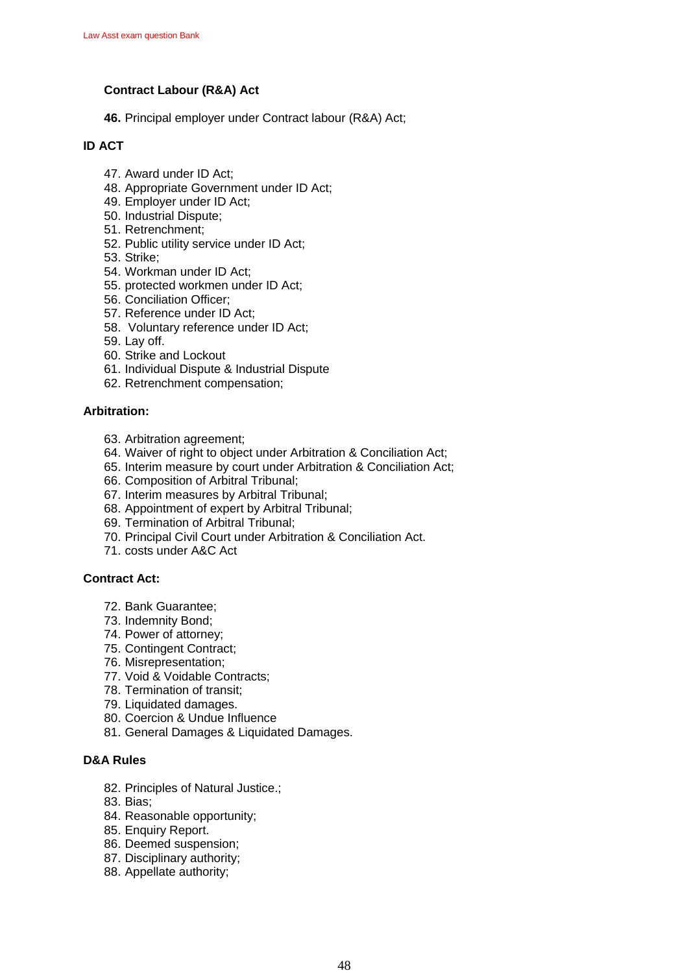## **Contract Labour (R&A) Act**

**46.** Principal employer under Contract labour (R&A) Act;

## **ID ACT**

- 47. Award under ID Act;
- 48. Appropriate Government under ID Act;
- 49. Employer under ID Act;
- 50. Industrial Dispute;
- 51. Retrenchment;
- 52. Public utility service under ID Act;
- 53. Strike;
- 54. Workman under ID Act;
- 55. protected workmen under ID Act;
- 56. Conciliation Officer;
- 57. Reference under ID Act;
- 58. Voluntary reference under ID Act;
- 59. Lay off.
- 60. Strike and Lockout
- 61. Individual Dispute & Industrial Dispute
- 62. Retrenchment compensation;

### **Arbitration:**

- 63. Arbitration agreement;
- 64. Waiver of right to object under Arbitration & Conciliation Act;
- 65. Interim measure by court under Arbitration & Conciliation Act;
- 66. Composition of Arbitral Tribunal;
- 67. Interim measures by Arbitral Tribunal;
- 68. Appointment of expert by Arbitral Tribunal;
- 69. Termination of Arbitral Tribunal;
- 70. Principal Civil Court under Arbitration & Conciliation Act.
- 71. costs under A&C Act

### **Contract Act:**

- 72. Bank Guarantee;
- 73. Indemnity Bond;
- 74. Power of attorney;
- 75. Contingent Contract;
- 76. Misrepresentation;
- 77. Void & Voidable Contracts;
- 78. Termination of transit;
- 79. Liquidated damages.
- 80. Coercion & Undue Influence
- 81. General Damages & Liquidated Damages.

## **D&A Rules**

- 82. Principles of Natural Justice.;
- 83. Bias;
- 84. Reasonable opportunity;
- 85. Enquiry Report.
- 86. Deemed suspension;
- 87. Disciplinary authority;
- 88. Appellate authority;